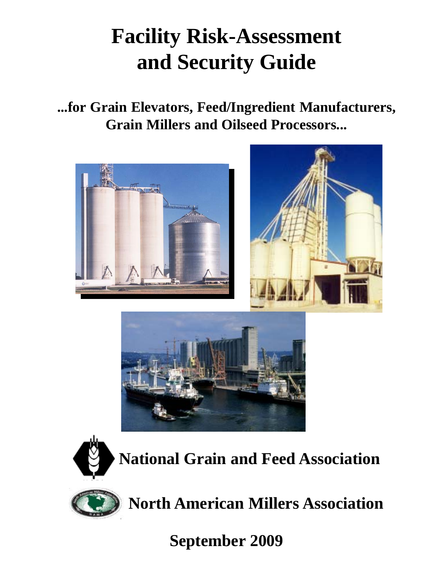# **Facility Risk-Assessment and Security Guide**

**...for Grain Elevators, Feed/Ingredient Manufacturers, Grain Millers and Oilseed Processors...**







 **National Grain and Feed Association**



 **North American Millers Association**

**September 2009**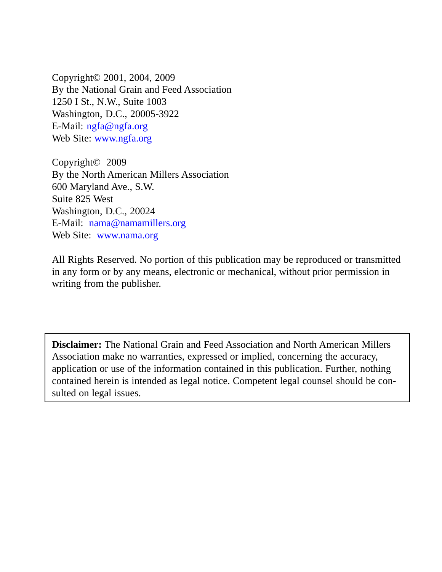Copyright© 2001, 2004, 2009 By the National Grain and Feed Association 1250 I St., N.W., Suite 1003 Washington, D.C., 20005-3922 E-Mail: ngfa@ngfa.org Web Site: www.ngfa.org

Copyright© 2009 By the North American Millers Association 600 Maryland Ave., S.W. Suite 825 West Washington, D.C., 20024 E-Mail: nama@namamillers.org Web Site: www.nama.org

All Rights Reserved. No portion of this publication may be reproduced or transmitted in any form or by any means, electronic or mechanical, without prior permission in writing from the publisher.

**Disclaimer:** The National Grain and Feed Association and North American Millers Association make no warranties, expressed or implied, concerning the accuracy, application or use of the information contained in this publication. Further, nothing contained herein is intended as legal notice. Competent legal counsel should be consulted on legal issues.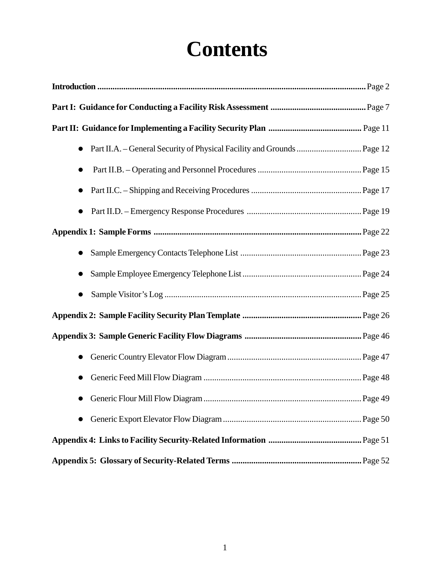# **Contents**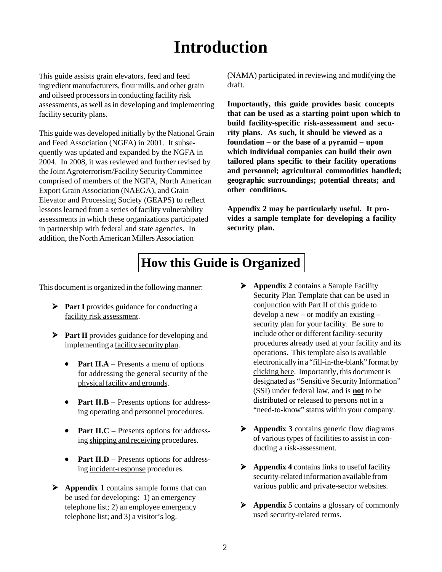# **Introduction**

This guide assists grain elevators, feed and feed ingredient manufacturers, flour mills, and other grain and oilseed processors in conducting facility risk assessments, as well as in developing and implementing facility security plans.

This guide was developed initially by the National Grain and Feed Association (NGFA) in 2001. It subsequently was updated and expanded by the NGFA in 2004. In 2008, it was reviewed and further revised by the Joint Agroterrorism/Facility Security Committee comprised of members of the NGFA, North American Export Grain Association (NAEGA), and Grain Elevator and Processing Society (GEAPS) to reflect lessons learned from a series of facility vulnerability assessments in which these organizations participated in partnership with federal and state agencies. In addition, the North American Millers Association

(NAMA) participated in reviewing and modifying the draft.

**Importantly, this guide provides basic concepts that can be used as a starting point upon which to build facility-specific risk-assessment and security plans. As such, it should be viewed as a foundation – or the base of a pyramid – upon which individual companies can build their own tailored plans specific to their facility operations and personnel; agricultural commodities handled; geographic surroundings; potential threats; and other conditions.**

**Appendix 2 may be particularly useful. It provides a sample template for developing a facility security plan.**

# **How this Guide is Organized**

This document is organized in the following manner:

- **Part I** provides guidance for conducting a facility risk assessment.
- **Part II** provides guidance for developing and implementing a facility security plan.
	- **Part II.A** Presents a menu of options for addressing the general security of the physical facility and grounds.
	- **Part II.B** Presents options for addressing operating and personnel procedures.
	- **Part II.C** Presents options for addressing shipping and receiving procedures.
	- **Part II.D** Presents options for addressing incident-response procedures.
- **Appendix 1** contains sample forms that can be used for developing: 1) an emergency telephone list; 2) an employee emergency telephone list; and 3) a visitor's log.
- **Appendix 2** contains a Sample Facility Security Plan Template that can be used in conjunction with Part II of this guide to develop a new – or modify an existing – security plan for your facility. Be sure to include other or different facility-security procedures already used at your facility and its operations. This template also is available electronically in a "fill-in-the-blank" format by clicking here. Importantly, this document is designated as "Sensitive Security Information" (SSI) under federal law, and is **not** to be distributed or released to persons not in a "need-to-know" status within your company.
- **Appendix 3** contains generic flow diagrams of various types of facilities to assist in conducting a risk-assessment.
- **Appendix 4** contains links to useful facility security-related information available from various public and private-sector websites.
- **Appendix 5** contains a glossary of commonly used security-related terms.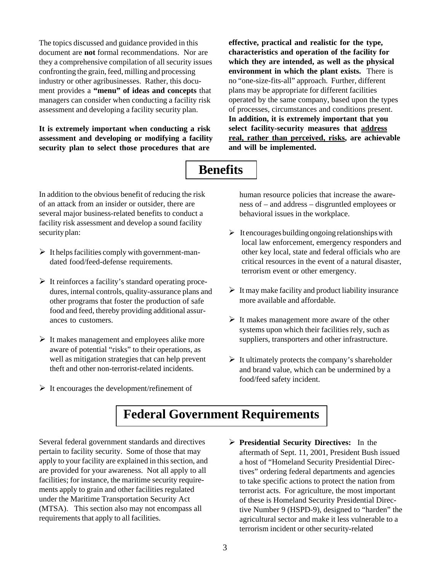The topics discussed and guidance provided in this document are **not** formal recommendations. Nor are they a comprehensive compilation of all security issues confronting the grain, feed, milling and processing industry or other agribusinesses. Rather, this document provides a **"menu" of ideas and concepts** that managers can consider when conducting a facility risk assessment and developing a facility security plan.

**It is extremely important when conducting a risk assessment and developing or modifying a facility security plan to select those procedures that are**

**effective, practical and realistic for the type, characteristics and operation of the facility for which they are intended, as well as the physical environment in which the plant exists.** There is no "one-size-fits-all" approach. Further, different plans may be appropriate for different facilities operated by the same company, based upon the types of processes, circumstances and conditions present. **In addition, it is extremely important that you select facility-security measures that address real, rather than perceived, risks, are achievable and will be implemented.**

# **Benefits**

In addition to the obvious benefit of reducing the risk of an attack from an insider or outsider, there are several major business-related benefits to conduct a facility risk assessment and develop a sound facility security plan:

- $\triangleright$  It helps facilities comply with government-mandated food/feed-defense requirements.
- $\triangleright$  It reinforces a facility's standard operating procedures, internal controls, quality-assurance plans and other programs that foster the production of safe food and feed, thereby providing additional assurances to customers.
- $\triangleright$  It makes management and employees alike more aware of potential "risks" to their operations, as well as mitigation strategies that can help prevent theft and other non-terrorist-related incidents.
- $\triangleright$  It encourages the development/refinement of

human resource policies that increase the awareness of – and address – disgruntled employees or behavioral issues in the workplace.

- $\triangleright$  It encourages building ongoing relationships with local law enforcement, emergency responders and other key local, state and federal officials who are critical resources in the event of a natural disaster, terrorism event or other emergency.
- $\triangleright$  It may make facility and product liability insurance more available and affordable.
- $\triangleright$  It makes management more aware of the other systems upon which their facilities rely, such as suppliers, transporters and other infrastructure.
- $\triangleright$  It ultimately protects the company's shareholder and brand value, which can be undermined by a food/feed safety incident.

# **Federal Government Requirements**

Several federal government standards and directives pertain to facility security. Some of those that may apply to your facility are explained in this section, and are provided for your awareness. Not all apply to all facilities; for instance, the maritime security requirements apply to grain and other facilities regulated under the Maritime Transportation Security Act (MTSA). This section also may not encompass all requirements that apply to all facilities.

 **Presidential Security Directives:** In the aftermath of Sept. 11, 2001, President Bush issued a host of "Homeland Security Presidential Directives" ordering federal departments and agencies to take specific actions to protect the nation from terrorist acts. For agriculture, the most important of these is Homeland Security Presidential Directive Number 9 (HSPD-9), designed to "harden" the agricultural sector and make it less vulnerable to a terrorism incident or other security-related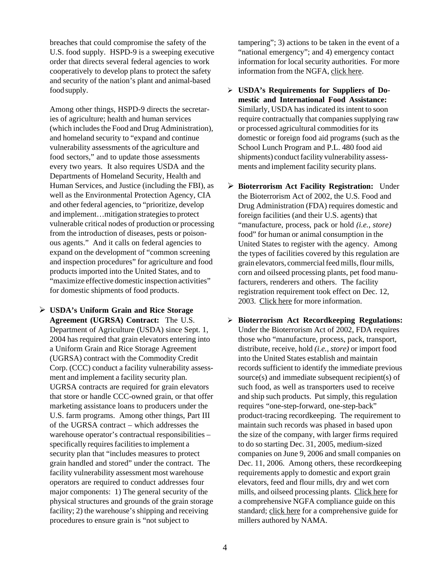breaches that could compromise the safety of the U.S. food supply. HSPD-9 is a sweeping executive order that directs several federal agencies to work cooperatively to develop plans to protect the safety and security of the nation's plant and animal-based food supply.

Among other things, HSPD-9 directs the secretaries of agriculture; health and human services (which includes the Food and Drug Administration), and homeland security to "expand and continue vulnerability assessments of the agriculture and food sectors," and to update those assessments every two years. It also requires USDA and the Departments of Homeland Security, Health and Human Services, and Justice (including the FBI), as well as the Environmental Protection Agency, CIA and other federal agencies, to "prioritize, develop and implement…mitigation strategies to protect vulnerable critical nodes of production or processing from the introduction of diseases, pests or poisonous agents." And it calls on federal agencies to expand on the development of "common screening and inspection procedures" for agriculture and food products imported into the United States, and to "maximize effective domestic inspection activities" for domestic shipments of food products.

 **USDA's Uniform Grain and Rice Storage Agreement (UGRSA) Contract:** The U.S. Department of Agriculture (USDA) since Sept. 1, 2004 has required that grain elevators entering into a Uniform Grain and Rice Storage Agreement (UGRSA) contract with the Commodity Credit Corp. (CCC) conduct a facility vulnerability assessment and implement a facility security plan. UGRSA contracts are required for grain elevators that store or handle CCC-owned grain, or that offer marketing assistance loans to producers under the U.S. farm programs. Among other things, Part III of the UGRSA contract – which addresses the warehouse operator's contractual responsibilities – specifically requires facilities to implement a security plan that "includes measures to protect grain handled and stored" under the contract. The facility vulnerability assessment most warehouse operators are required to conduct addresses four major components: 1) The general security of the physical structures and grounds of the grain storage facility; 2) the warehouse's shipping and receiving procedures to ensure grain is "not subject to

tampering"; 3) actions to be taken in the event of a "national emergency"; and 4) emergency contact information for local security authorities. For more information from the NGFA, [click here.](http://www.ngfa.org/files//misc/NGFAGuidanceforComplyingwithUGRSAFacilitySecurityPlanJly2004.pdf)

- **USDA's Requirements for Suppliers of Domestic and International Food Assistance:** Similarly, USDA has indicated its intent to soon require contractually that companies supplying raw or processed agricultural commodities for its domestic or foreign food aid programs (such as the School Lunch Program and P.L. 480 food aid shipments) conduct facility vulnerability assessments and implement facility security plans.
- **Bioterrorism Act Facility Registration:** Under the Bioterrorism Act of 2002, the U.S. Food and Drug Administration (FDA) requires domestic and foreign facilities (and their U.S. agents) that "manufacture, process, pack or hold *(i.e., store)* food" for human or animal consumption in the United States to register with the agency. Among the types of facilities covered by this regulation are grain elevators, commercial feed mills, flour mills, corn and oilseed processing plants, pet food manufacturers, renderers and others. The facility registration requirement took effect on Dec. 12, 2003. [Click here](http://www.ngfa.org/files//misc/FDAInterimFinalRuleonFacilityRegistration.pdf) for more information.
- **Bioterrorism Act Recordkeeping Regulations:** Under the Bioterrorism Act of 2002, FDA requires those who "manufacture, process, pack, transport, distribute, receive, hold *(i.e., store)* or import food into the United States establish and maintain records sufficient to identify the immediate previous source(s) and immediate subsequent recipient(s) of such food, as well as transporters used to receive and ship such products. Put simply, this regulation requires "one-step-forward, one-step-back" product-tracing recordkeeping. The requirement to maintain such records was phased in based upon the size of the company, with larger firms required to do so starting Dec. 31, 2005, medium-sized companies on June 9, 2006 and small companies on Dec. 11, 2006. Among others, these recordkeeping requirements apply to domestic and export grain elevators, feed and flour mills, dry and wet corn mills, and oilseed processing plants. [Click here](http://www.ngfa.org/files//misc/NGFAComprehensiveGuidanceDocumentonFDAsBioterrorismRecordkeepingRegulations.pdf) for a comprehensive NGFA compliance guide on this standard; [click here](http://www.ngfa.org/files//misc/NAMABioterrorismRecordkeepingGuidanceDocument.pdf) for a comprehensive guide for millers authored by NAMA.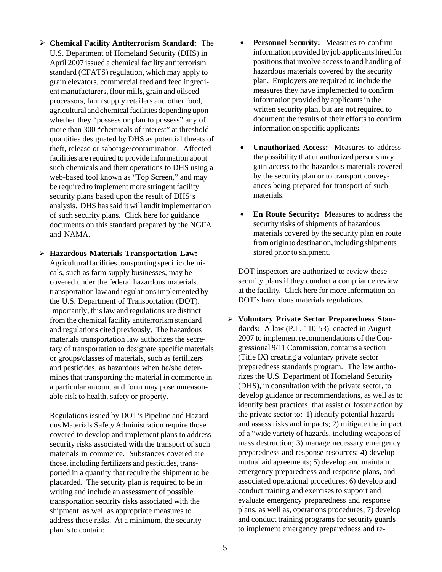- **Chemical Facility Antiterrorism Standard:** The U.S. Department of Homeland Security (DHS) in April 2007 issued a chemical facility antiterrorism standard (CFATS) regulation, which may apply to grain elevators, commercial feed and feed ingredient manufacturers, flour mills, grain and oilseed processors, farm supply retailers and other food, agricultural and chemical facilities depending upon whether they "possess or plan to possess" any of more than 300 "chemicals of interest" at threshold quantities designated by DHS as potential threats of theft, release or sabotage/contamination. Affected facilities are required to provide information about such chemicals and their operations to DHS using a web-based tool known as "Top Screen," and may be required to implement more stringent facility security plans based upon the result of DHS's analysis. DHS has said it will audit implementation of such security plans. [Click here](http://www.ngfa.org/files//misc/NGFAGuidanceonDHSChemicalFacilityAnti-TerrorismStandard.pdf) for guidance documents on this standard prepared by the NGFA and NAMA.
- **Hazardous Materials Transportation Law:** Agricultural facilities transporting specific chemicals, such as farm supply businesses, may be covered under the federal hazardous materials transportation law and regulations implemented by the U.S. Department of Transportation (DOT). Importantly, this law and regulations are distinct from the chemical facility antiterrorism standard and regulations cited previously. The hazardous materials transportation law authorizes the secretary of transportation to designate specific materials or groups/classes of materials, such as fertilizers and pesticides, as hazardous when he/she determines that transporting the material in commerce in a particular amount and form may pose unreasonable risk to health, safety or property.

Regulations issued by DOT's Pipeline and Hazardous Materials Safety Administration require those covered to develop and implement plans to address security risks associated with the transport of such materials in commerce. Substances covered are those, including fertilizers and pesticides, transported in a quantity that require the shipment to be placarded. The security plan is required to be in writing and include an assessment of possible transportation security risks associated with the shipment, as well as appropriate measures to address those risks. At a minimum, the security plan is to contain:

- **Personnel Security:** Measures to confirm information provided by job applicants hired for positions that involve access to and handling of hazardous materials covered by the security plan. Employers are required to include the measures they have implemented to confirm information provided by applicants in the written security plan, but are not required to document the results of their efforts to confirm information on specific applicants.
- **Unauthorized Access:** Measures to address the possibility that unauthorized persons may gain access to the hazardous materials covered by the security plan or to transport conveyances being prepared for transport of such materials.
- **En Route Security:** Measures to address the security risks of shipments of hazardous materials covered by the security plan en route from origin to destination, including shipments stored prior to shipment.

DOT inspectors are authorized to review these security plans if they conduct a compliance review at the facility. [Click here](http://www.phmsa.dot.gov/hazmat/regs) for more information on DOT's hazardous materials regulations.

 **Voluntary Private Sector Preparedness Standards:** A law (P.L. 110-53), enacted in August 2007 to implement recommendations of the Congressional 9/11 Commission, contains a section (Title IX) creating a voluntary private sector preparedness standards program. The law authorizes the U.S. Department of Homeland Security (DHS), in consultation with the private sector, to develop guidance or recommendations, as well as to identify best practices, that assist or foster action by the private sector to: 1) identify potential hazards and assess risks and impacts; 2) mitigate the impact of a "wide variety of hazards, including weapons of mass destruction; 3) manage necessary emergency preparedness and response resources; 4) develop mutual aid agreements; 5) develop and maintain emergency preparedness and response plans, and associated operational procedures; 6) develop and conduct training and exercises to support and evaluate emergency preparedness and response plans, as well as, operations procedures; 7) develop and conduct training programs for security guards to implement emergency preparedness and re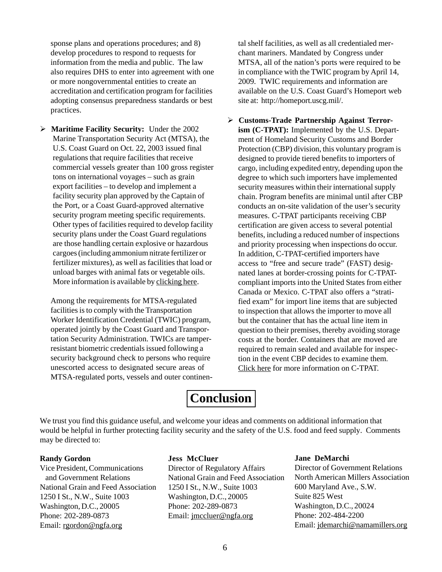sponse plans and operations procedures; and 8) develop procedures to respond to requests for information from the media and public. The law also requires DHS to enter into agreement with one or more nongovernmental entities to create an accreditation and certification program for facilities adopting consensus preparedness standards or best practices.

 **Maritime Facility Security:** Under the 2002 Marine Transportation Security Act (MTSA), the U.S. Coast Guard on Oct. 22, 2003 issued final regulations that require facilities that receive commercial vessels greater than 100 gross register tons on international voyages – such as grain export facilities – to develop and implement a facility security plan approved by the Captain of the Port, or a Coast Guard-approved alternative security program meeting specific requirements. Other types of facilities required to develop facility security plans under the Coast Guard regulations are those handling certain explosive or hazardous cargoes (including ammonium nitrate fertilizer or fertilizer mixtures), as well as facilities that load or unload barges with animal fats or vegetable oils. More information is available by [clicking here.](https://homeport.uscg.mil/cgi-bin/st/portal/uscg_docs/MyCG/Editorial/20061005/guide_for_facilities.pdf?id=d47e065ee7b9b72504a9f70d14c693b8e8f43a60)

Among the requirements for MTSA-regulated facilities is to comply with the Transportation Worker Identification Credential (TWIC) program, operated jointly by the Coast Guard and Transportation Security Administration. TWICs are tamperresistant biometric credentials issued following a security background check to persons who require unescorted access to designated secure areas of MTSA-regulated ports, vessels and outer continen-

tal shelf facilities, as well as all credentialed merchant mariners. Mandated by Congress under MTSA, all of the nation's ports were required to be in compliance with the TWIC program by April 14, 2009. TWIC requirements and information are available on the U.S. Coast Guard's Homeport web site at: [http://homeport.uscg.mil/.](http://homeport.uscg.mil/)

 **Customs-Trade Partnership Against Terrorism (C-TPAT):** Implemented by the U.S. Department of Homeland Security Customs and Border Protection (CBP) division, this voluntary program is designed to provide tiered benefits to importers of cargo, including expedited entry, depending upon the degree to which such importers have implemented security measures within their international supply chain. Program benefits are minimal until after CBP conducts an on-site validation of the user's security measures. C-TPAT participants receiving CBP certification are given access to several potential benefits, including a reduced number of inspections and priority processing when inspections do occur. In addition, C-TPAT-certified importers have access to "free and secure trade" (FAST) designated lanes at border-crossing points for C-TPATcompliant imports into the United States from either Canada or Mexico. C-TPAT also offers a "stratified exam" for import line items that are subjected to inspection that allows the importer to move all but the container that has the actual line item in question to their premises, thereby avoiding storage costs at the border. Containers that are moved are required to remain sealed and available for inspection in the event CBP decides to examine them. [Click here](http://www.cbp.gov/xp/cgov/trade/cargo_security/ctpat/) for more information on C-TPAT.

# **Conclusion**

We trust you find this guidance useful, and welcome your ideas and comments on additional information that would be helpful in further protecting facility security and the safety of the U.S. food and feed supply. Comments may be directed to:

#### **Randy Gordon**

Vice President, Communications and Government Relations National Grain and Feed Association 1250 I St., N.W., Suite 1003 Washington, D.C., 20005 Phone: 202-289-0873 Email: [rgordon@ngfa.org](mailto:rgordon@ngfa.org)

### **Jess McCluer**

Director of Regulatory Affairs National Grain and Feed Association 1250 I St., N.W., Suite 1003 Washington, D.C., 20005 Phone: 202-289-0873 Email[: jmccluer@ngfa.org](mailto:jmccluer@ngfa.org)

#### **Jane DeMarchi**

Director of Government Relations North American Millers Association 600 Maryland Ave., S.W. Suite 825 West Washington, D.C., 20024 Phone: 202-484-2200 Email[: jdemarchi@namamillers.org](mailto:jdemarchi@namamillers.org)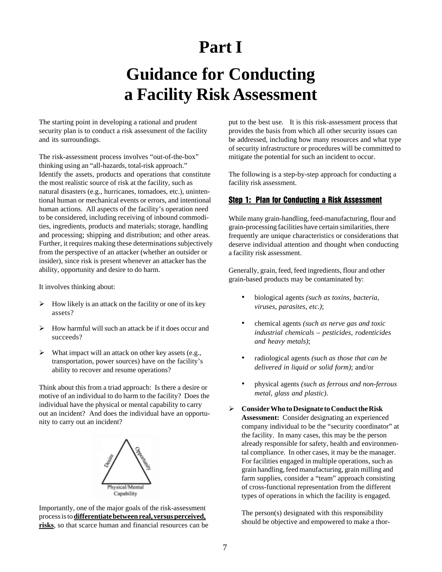# **Part I**

# **Guidance for Conducting a Facility Risk Assessment**

The starting point in developing a rational and prudent security plan is to conduct a risk assessment of the facility and its surroundings.

The risk-assessment process involves "out-of-the-box" thinking using an "all-hazards, total-risk approach." Identify the assets, products and operations that constitute the most realistic source of risk at the facility, such as natural disasters (e.g., hurricanes, tornadoes, etc.), unintentional human or mechanical events or errors, and intentional human actions. All aspects of the facility's operation need to be considered, including receiving of inbound commodities, ingredients, products and materials; storage, handling and processing; shipping and distribution; and other areas. Further, it requires making these determinations subjectively from the perspective of an attacker (whether an outsider or insider), since risk is present whenever an attacker has the ability, opportunity and desire to do harm.

It involves thinking about:

- $\triangleright$  How likely is an attack on the facility or one of its key assets?
- $\triangleright$  How harmful will such an attack be if it does occur and succeeds?
- $\triangleright$  What impact will an attack on other key assets (e.g., transportation, power sources) have on the facility's ability to recover and resume operations?

Think about this from a triad approach: Is there a desire or motive of an individual to do harm to the facility? Does the individual have the physical or mental capability to carry out an incident? And does the individual have an opportunity to carry out an incident?



Importantly, one of the major goals of the risk-assessment process is to **differentiate between real, versus perceived, risks**, so that scarce human and financial resources can be put to the best use. It is this risk-assessment process that provides the basis from which all other security issues can be addressed, including how many resources and what type of security infrastructure or procedures will be committed to mitigate the potential for such an incident to occur.

The following is a step-by-step approach for conducting a facility risk assessment.

#### Step 1: Plan for Conducting a Risk Assessment

While many grain-handling, feed-manufacturing, flour and grain-processing facilities have certain similarities, there frequently are unique characteristics or considerations that deserve individual attention and thought when conducting a facility risk assessment.

Generally, grain, feed, feed ingredients, flour and other grain-based products may be contaminated by:

- biological agents *(such as toxins, bacteria, viruses, parasites, etc.)*;
- chemical agents *(such as nerve gas and toxic industrial chemicals – pesticides, rodenticides and heavy metals)*;
- radiological agents *(such as those that can be delivered in liquid or solid form)*; and/or
- physical agents *(such as ferrous and non-ferrous metal, glass and plastic)*.
- **Consider Who to Designate to Conduct the Risk Assessment:** Consider designating an experienced company individual to be the "security coordinator" at the facility. In many cases, this may be the person already responsible for safety, health and environmental compliance. In other cases, it may be the manager. For facilities engaged in multiple operations, such as grain handling, feed manufacturing, grain milling and farm supplies, consider a "team" approach consisting of cross-functional representation from the different types of operations in which the facility is engaged.

The person(s) designated with this responsibility should be objective and empowered to make a thor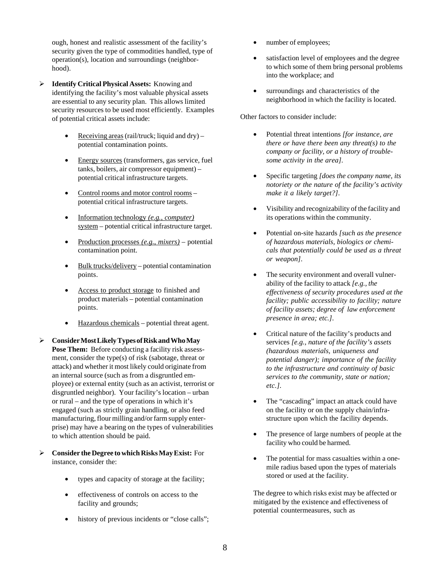ough, honest and realistic assessment of the facility's security given the type of commodities handled, type of operation(s), location and surroundings (neighborhood).

- **Identify Critical Physical Assets:** Knowing and identifying the facility's most valuable physical assets are essential to any security plan. This allows limited security resources to be used most efficiently. Examples of potential critical assets include:
	- Receiving areas (rail/truck; liquid and dry) potential contamination points.
	- Energy sources (transformers, gas service, fuel tanks, boilers, air compressor equipment) – potential critical infrastructure targets.
	- Control rooms and motor control rooms potential critical infrastructure targets.
	- Information technology *(e.g., computer)* system – potential critical infrastructure target.
	- Production processes *(e.g., mixers)* potential contamination point.
	- Bulk trucks/delivery potential contamination points.
	- Access to product storage to finished and product materials – potential contamination points.
	- Hazardous chemicals potential threat agent.
- **Consider Most Likely Types of Risk and Who May Pose Them:** Before conducting a facility risk assessment, consider the type(s) of risk (sabotage, threat or attack) and whether it most likely could originate from an internal source (such as from a disgruntled employee) or external entity (such as an activist, terrorist or disgruntled neighbor). Your facility's location – urban or rural – and the type of operations in which it's engaged (such as strictly grain handling, or also feed manufacturing, flour milling and/or farm supply enterprise) may have a bearing on the types of vulnerabilities to which attention should be paid.
- **Consider the Degree to which Risks May Exist:** For instance, consider the:
	- types and capacity of storage at the facility;
	- effectiveness of controls on access to the facility and grounds;
	- history of previous incidents or "close calls";
- number of employees;
- satisfaction level of employees and the degree to which some of them bring personal problems into the workplace; and
- surroundings and characteristics of the neighborhood in which the facility is located.

Other factors to consider include:

- Potential threat intentions *[for instance, are there or have there been any threat(s) to the company or facility, or a history of troublesome activity in the area]*.
- Specific targeting *[does the company name, its notoriety or the nature of the facility's activity make it a likely target?]*.
- Visibility and recognizability of the facility and its operations within the community.
- Potential on-site hazards *[such as the presence of hazardous materials, biologics or chemicals that potentially could be used as a threat or weapon]*.
- The security environment and overall vulnerability of the facility to attack *[e.g., the effectiveness of security procedures used at the facility; public accessibility to facility; nature of facility assets; degree of law enforcement presence in area; etc.]*.
- Critical nature of the facility's products and services *[e.g., nature of the facility's assets (hazardous materials, uniqueness and potential danger); importance of the facility to the infrastructure and continuity of basic services to the community, state or nation; etc.]*.
- The "cascading" impact an attack could have on the facility or on the supply chain/infrastructure upon which the facility depends.
- The presence of large numbers of people at the facility who could be harmed.
- The potential for mass casualties within a onemile radius based upon the types of materials stored or used at the facility.

The degree to which risks exist may be affected or mitigated by the existence and effectiveness of potential countermeasures, such as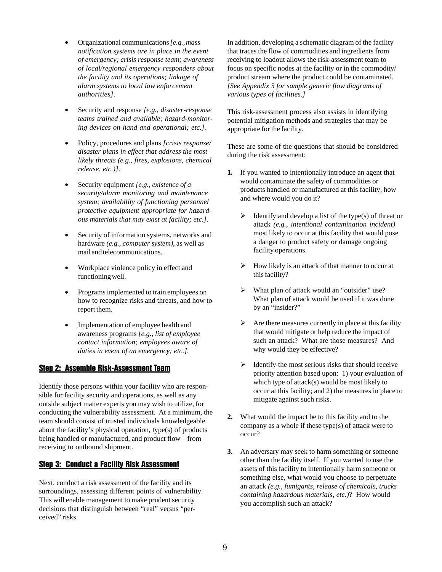- Organizational communications *[e.g., mass notification systems are in place in the event of emergency; crisis response team; awareness of local/regional emergency responders about the facility and its operations; linkage of alarm systems to local law enforcement authorities]*.
- Security and response *[e.g., disaster-response teams trained and available; hazard-monitoring devices on-hand and operational; etc.]*.
- Policy, procedures and plans *[crisis response/ disaster plans in effect that address the most likely threats (e.g., fires, explosions, chemical release, etc.)]*.
- Security equipment *[e.g., existence of a security/alarm monitoring and maintenance system; availability of functioning personnel protective equipment appropriate for hazardous materials that may exist at facility; etc.]*.
- Security of information systems, networks and hardware *(e.g., computer system)*, as well as mail and telecommunications.
- Workplace violence policy in effect and functioning well.
- Programs implemented to train employees on how to recognize risks and threats, and how to report them.
- Implementation of employee health and awareness programs *[e.g., list of employee contact information; employees aware of duties in event of an emergency; etc.]*.

#### Step 2: Assemble Risk-Assessment Team

Identify those persons within your facility who are responsible for facility security and operations, as well as any outside subject matter experts you may wish to utilize, for conducting the vulnerability assessment. At a minimum, the team should consist of trusted individuals knowledgeable about the facility's physical operation, type(s) of products being handled or manufactured, and product flow – from receiving to outbound shipment.

### **Step 3: Conduct a Facility Risk Assessment**

Next, conduct a risk assessment of the facility and its surroundings, assessing different points of vulnerability. This will enable management to make prudent security decisions that distinguish between "real" versus "perceived" risks.

In addition, developing a schematic diagram of the facility that traces the flow of commodities and ingredients from receiving to loadout allows the risk-assessment team to focus on specific nodes at the facility or in the commodity/ product stream where the product could be contaminated. *[See Appendix 3 for sample generic flow diagrams of various types of facilities.]*

This risk-assessment process also assists in identifying potential mitigation methods and strategies that may be appropriate for the facility.

These are some of the questions that should be considered during the risk assessment:

- **1.** If you wanted to intentionally introduce an agent that would contaminate the safety of commodities or products handled or manufactured at this facility, how and where would you do it?
	- $\triangleright$  Identify and develop a list of the type(s) of threat or attack *(e.g., intentional contamination incident)* most likely to occur at this facility that would pose a danger to product safety or damage ongoing facility operations.
	- How likely is an attack of that manner to occur at this facility?
	- What plan of attack would an "outsider" use? What plan of attack would be used if it was done by an "insider?"
	- $\triangleright$  Are there measures currently in place at this facility that would mitigate or help reduce the impact of such an attack? What are those measures? And why would they be effective?
	- $\triangleright$  Identify the most serious risks that should receive priority attention based upon: 1) your evaluation of which type of attack(s) would be most likely to occur at this facility; and 2) the measures in place to mitigate against such risks.
- **2.** What would the impact be to this facility and to the company as a whole if these type(s) of attack were to occur?
- **3.** An adversary may seek to harm something or someone other than the facility itself. If you wanted to use the assets of this facility to intentionally harm someone or something else, what would you choose to perpetuate an attack *(e.g., fumigants, release of chemicals, trucks containing hazardous materials, etc.)*? How would you accomplish such an attack?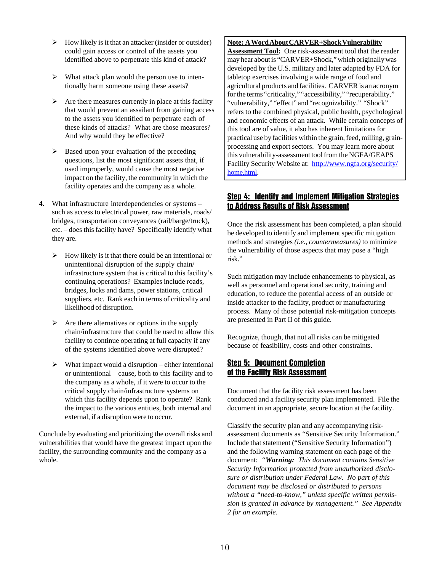- $\triangleright$  How likely is it that an attacker (insider or outsider) could gain access or control of the assets you identified above to perpetrate this kind of attack?
- $\triangleright$  What attack plan would the person use to intentionally harm someone using these assets?
- $\triangleright$  Are there measures currently in place at this facility that would prevent an assailant from gaining access to the assets you identified to perpetrate each of these kinds of attacks? What are those measures? And why would they be effective?
- Βased upon your evaluation of the preceding questions, list the most significant assets that, if used improperly, would cause the most negative impact on the facility, the community in which the facility operates and the company as a whole.
- **4.** What infrastructure interdependencies or systems such as access to electrical power, raw materials, roads/ bridges, transportation conveyances (rail/barge/truck), etc. – does this facility have? Specifically identify what they are.
	- $\triangleright$  How likely is it that there could be an intentional or unintentional disruption of the supply chain/ infrastructure system that is critical to this facility's continuing operations? Examples include roads, bridges, locks and dams, power stations, critical suppliers, etc. Rank each in terms of criticality and likelihood of disruption.
	- $\triangleright$  Are there alternatives or options in the supply chain/infrastructure that could be used to allow this facility to continue operating at full capacity if any of the systems identified above were disrupted?
	- $\triangleright$  What impact would a disruption either intentional or unintentional – cause, both to this facility and to the company as a whole, if it were to occur to the critical supply chain/infrastructure systems on which this facility depends upon to operate? Rank the impact to the various entities, both internal and external, if a disruption were to occur.

Conclude by evaluating and prioritizing the overall risks and vulnerabilities that would have the greatest impact upon the facility, the surrounding community and the company as a whole.

#### **Note: A Word About CARVER+Shock Vulnerability**

Assessment Tool: One risk-assessment tool that the reader may hear about is "CARVER+Shock," which originally was developed by the U.S. military and later adapted by FDA for tabletop exercises involving a wide range of food and agricultural products and facilities. CARVER is an acronym for the terms "criticality," "accessibility," "recuperability," "vulnerability," "effect" and "recognizability." "Shock" refers to the combined physical, public health, psychological and economic effects of an attack. While certain concepts of this tool are of value, it also has inherent limitations for practical use by facilities within the grain, feed, milling, grainprocessing and export sectors. You may learn more about this vulnerability-assessment tool from the NGFA/GEAPS Facility Security Website at: http://www.ngfa.org/security/ home.html.

### Step 4: Identify and Implement Mitigation Strategies to Address Results of Risk Assessment

Once the risk assessment has been completed, a plan should be developed to identify and implement specific mitigation methods and strategies *(i.e., countermeasures)* to minimize the vulnerability of those aspects that may pose a "high risk."

Such mitigation may include enhancements to physical, as well as personnel and operational security, training and education, to reduce the potential access of an outside or inside attacker to the facility, product or manufacturing process. Many of those potential risk-mitigation concepts are presented in Part II of this guide.

Recognize, though, that not all risks can be mitigated because of feasibility, costs and other constraints.

#### Step 5: Document Completion of the Facility Risk Assessment

Document that the facility risk assessment has been conducted and a facility security plan implemented. File the document in an appropriate, secure location at the facility.

Classify the security plan and any accompanying riskassessment documents as "Sensitive Security Information." Include that statement ("Sensitive Security Information") and the following warning statement on each page of the document: *"Warning: This document contains Sensitive Security Information protected from unauthorized disclosure or distribution under Federal Law. No part of this document may be disclosed or distributed to persons without a "need-to-know," unless specific written permission is granted in advance by management." See Appendix 2 for an example.*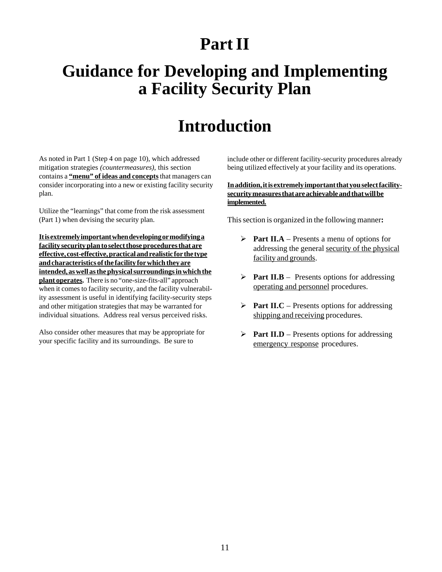# **Part II**

# **Guidance for Developing and Implementing a Facility Security Plan**

# **Introduction**

As noted in Part 1 (Step 4 on page 10), which addressed mitigation strategies *(countermeasures)*, this section contains a **"menu" of ideas and concepts** that managers can consider incorporating into a new or existing facility security plan.

Utilize the "learnings" that come from the risk assessment (Part 1) when devising the security plan.

**It is extremely important when developing or modifying a facility security plan to select those procedures that are effective, cost-effective, practical and realistic for the type and characteristics of the facility for which they are intended, as well as the physical surroundings in which the plant operates.** There is no "one-size-fits-all" approach when it comes to facility security, and the facility vulnerability assessment is useful in identifying facility-security steps and other mitigation strategies that may be warranted for individual situations. Address real versus perceived risks.

Also consider other measures that may be appropriate for your specific facility and its surroundings. Be sure to

include other or different facility-security procedures already being utilized effectively at your facility and its operations.

#### **In addition, it is extremely important that you select facilitysecurity measures that are achievable and that will be implemented.**

This section is organized in the following manner**:**

- **Part II.A** Presents a menu of options for addressing the general security of the physical facility and grounds.
- **Part II.B** Presents options for addressing operating and personnel procedures.
- **Part II.C** Presents options for addressing shipping and receiving procedures.
- **Part II.D** Presents options for addressing emergency response procedures.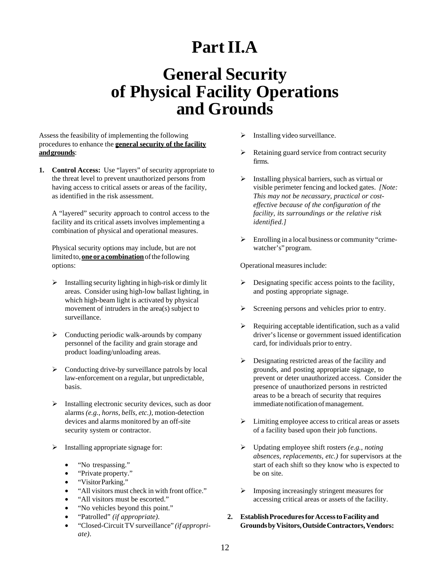# **Part II.A**

# **General Security of Physical Facility Operations and Grounds**

Assess the feasibility of implementing the following procedures to enhance the **general security of the facility and grounds**:

**1. Control Access:** Use "layers" of security appropriate to the threat level to prevent unauthorized persons from having access to critical assets or areas of the facility, as identified in the risk assessment.

A "layered" security approach to control access to the facility and its critical assets involves implementing a combination of physical and operational measures.

Physical security options may include, but are not limited to, **one or a combination** of the following options:

- $\triangleright$  Installing security lighting in high-risk or dimly lit areas. Consider using high-low ballast lighting, in which high-beam light is activated by physical movement of intruders in the area(s) subject to surveillance.
- $\triangleright$  Conducting periodic walk-arounds by company personnel of the facility and grain storage and product loading/unloading areas.
- $\triangleright$  Conducting drive-by surveillance patrols by local law-enforcement on a regular, but unpredictable, basis.
- $\triangleright$  Installing electronic security devices, such as door alarms *(e.g., horns, bells, etc.)*, motion-detection devices and alarms monitored by an off-site security system or contractor.
- $\triangleright$  Installing appropriate signage for:
	- "No trespassing."
	- "Private property."
	- "Visitor Parking."
	- "All visitors must check in with front office."
	- "All visitors must be escorted."
	- "No vehicles beyond this point."
	- "Patrolled" *(if appropriate)*.
	- "Closed-Circuit TV surveillance" *(if appropriate)*.
- Installing video surveillance.
- $\triangleright$  Retaining guard service from contract security firms.
- $\triangleright$  Installing physical barriers, such as virtual or visible perimeter fencing and locked gates. *[Note: This may not be necassary, practical or costeffective because of the configuration of the facility, its surroundings or the relative risk identified.]*
- $\triangleright$  Enrolling in a local business or community "crimewatcher's" program.

Operational measures include:

- $\triangleright$  Designating specific access points to the facility, and posting appropriate signage.
- $\triangleright$  Screening persons and vehicles prior to entry.
- $\triangleright$  Requiring acceptable identification, such as a valid driver's license or government issued identification card, for individuals prior to entry.
- $\triangleright$  Designating restricted areas of the facility and grounds, and posting appropriate signage, to prevent or deter unauthorized access. Consider the presence of unauthorized persons in restricted areas to be a breach of security that requires immediate notification of management.
- $\triangleright$  Limiting employee access to critical areas or assets of a facility based upon their job functions.
- Updating employee shift rosters *(e.g., noting absences, replacements, etc.)* for supervisors at the start of each shift so they know who is expected to be on site.
- $\triangleright$  Imposing increasingly stringent measures for accessing critical areas or assets of the facility.
- **2. Establish Procedures for Access to Facility and Grounds by Visitors, Outside Contractors, Vendors:**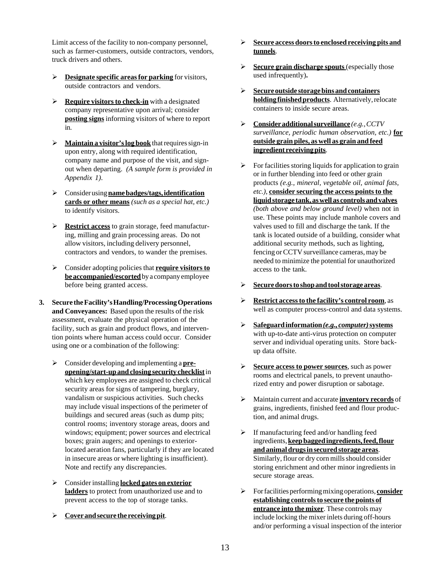Limit access of the facility to non-company personnel, such as farmer-customers, outside contractors, vendors, truck drivers and others.

- **Designate specific areas for parking** for visitors, outside contractors and vendors.
- **Require visitors to check-in** with a designated company representative upon arrival; consider **posting signs** informing visitors of where to report in.
- **Maintain a visitor's log book** that requires sign-in upon entry, along with required identification, company name and purpose of the visit, and signout when departing. *(A sample form is provided in Appendix 1)*.
- Consider using **name badges/tags, identification cards or other means** *(such as a special hat, etc.)* to identify visitors.
- **Restrict access** to grain storage, feed manufacturing, milling and grain processing areas. Do not allow visitors, including delivery personnel, contractors and vendors, to wander the premises.
- Consider adopting policies that **require visitors to be accompanied/escorted** by a company employee before being granted access.
- **3. Secure the Facility's Handling/Processing Operations and Conveyances:** Based upon the results of the risk assessment, evaluate the physical operation of the facility, such as grain and product flows, and intervention points where human access could occur. Consider using one or a combination of the following:
	- Consider developing and implementing a **preopening/start-up and closing security checklist** in which key employees are assigned to check critical security areas for signs of tampering, burglary, vandalism or suspicious activities. Such checks may include visual inspections of the perimeter of buildings and secured areas (such as dump pits; control rooms; inventory storage areas, doors and windows; equipment; power sources and electrical boxes; grain augers; and openings to exteriorlocated aeration fans, particularly if they are located in insecure areas or where lighting is insufficient). Note and rectify any discrepancies.
	- Consider installing **locked gates on exterior ladders** to protect from unauthorized use and to prevent access to the top of storage tanks.
	- **Cover and secure the receiving pit**.
- **Secure access doors to enclosed receiving pits and tunnels**.
- **Secure grain discharge spouts** (especially those used infrequently)**.**
- **Secure outside storage bins and containers holding finished products**. Alternatively, relocate containers to inside secure areas.
- **Consider additional surveillance** *(e.g., CCTV surveillance, periodic human observation, etc.)* **for outside grain piles, as well as grain and feed ingredient receiving pits**.
- $\triangleright$  For facilities storing liquids for application to grain or in further blending into feed or other grain products *(e.g., mineral, vegetable oil, animal fats, etc.)*, **consider securing the access points to the liquid storage tank, as well as controls and valves** *(both above and below ground level)* when not in use. These points may include manhole covers and valves used to fill and discharge the tank. If the tank is located outside of a building, consider what additional security methods, such as lighting, fencing or CCTV surveillance cameras, may be needed to minimize the potential for unauthorized access to the tank.
- **Secure doors to shop and tool storage areas**.
- **Restrict access to the facility's control room**, as well as computer process-control and data systems.
- **Safeguard information** *(e.g., computer)* **systems** with up-to-date anti-virus protection on computer server and individual operating units. Store backup data offsite.
- **Secure access to power sources**, such as power rooms and electrical panels, to prevent unauthorized entry and power disruption or sabotage.
- Maintain current and accurate **inventory records** of grains, ingredients, finished feed and flour production, and animal drugs.
- $\triangleright$  If manufacturing feed and/or handling feed ingredients, **keep bagged ingredients, feed, flour and animal drugs in secured storage areas**. Similarly, flour or dry corn mills should consider storing enrichment and other minor ingredients in secure storage areas.
- For facilities performing mixing operations, **consider establishing controls to secure the points of entrance into the mixer**. These controls may include locking the mixer inlets during off-hours and/or performing a visual inspection of the interior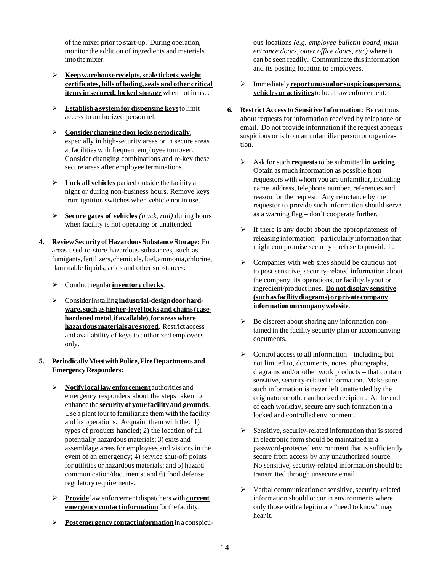of the mixer prior to start-up. During operation, monitor the addition of ingredients and materials into the mixer.

- **Keep warehouse receipts, scale tickets, weight certificates, bills of lading, seals and other critical items in secured, locked storage** when not in use.
- **Establish a system for dispensing keys** to limit access to authorized personnel.
- **Consider changing door locks periodically**, especially in high-security areas or in secure areas at facilities with frequent employee turnover. Consider changing combinations and re-key these secure areas after employee terminations.
- **Lock all vehicles** parked outside the facility at night or during non-business hours. Remove keys from ignition switches when vehicle not in use.
- **Secure gates of vehicles** *(truck, rail)* during hours when facility is not operating or unattended.
- **4. Review Security of Hazardous Substance Storage:** For areas used to store hazardous substances, such as fumigants, fertilizers, chemicals, fuel, ammonia, chlorine, flammable liquids, acids and other substances:
	- Conduct regular **inventory checks**.
	- Consider installing **industrial-design door hardware, such as higher-level locks and chains (casehardened metal, if available), for areas where hazardous materials are stored**. Restrict access and availability of keys to authorized employees only.
- **5. Periodically Meet with Police, Fire Departments and Emergency Responders:**
	- **Notify local law enforcement** authorities and emergency responders about the steps taken to enhance the **security of your facility and grounds**. Use a plant tour to familiarize them with the facility and its operations. Acquaint them with the: 1) types of products handled; 2) the location of all potentially hazardous materials; 3) exits and assemblage areas for employees and visitors in the event of an emergency; 4) service shut-off points for utilities or hazardous materials; and 5) hazard communication/documents; and 6) food defense regulatory requirements.
	- **Provide** law enforcement dispatchers with **current emergency contact information** for the facility.
	- **Post emergency contact information** in a conspicu-

ous locations *(e.g. employee bulletin board, main entrance doors, outer office doors, etc.)* where it can be seen readily. Communicate this information and its posting location to employees.

- Immediately **report unusual or suspicious persons, vehicles or activities** to local law enforcement.
- **6. Restrict Access to Sensitive Information:** Be cautious about requests for information received by telephone or email. Do not provide information if the request appears suspicious or is from an unfamiliar person or organization.
	- Ask for such **requests** to be submitted **in writing**. Obtain as much information as possible from requestors with whom you are unfamiliar, including name, address, telephone number, references and reason for the request. Any reluctance by the requestor to provide such information should serve as a warning flag – don't cooperate further.
	- $\triangleright$  If there is any doubt about the appropriateness of releasing information – particularly information that might compromise security – refuse to provide it.
	- $\triangleright$  Companies with web sites should be cautious not to post sensitive, security-related information about the company, its operations, or facility layout or ingredient/product lines. **Do not display sensitive (such as facility diagrams) or private company information on company web site**.
	- $\triangleright$  Be discreet about sharing any information contained in the facility security plan or accompanying documents.
	- $\triangleright$  Control access to all information including, but not limited to, documents, notes, photographs, diagrams and/or other work products – that contain sensitive, security-related information. Make sure such information is never left unattended by the originator or other authorized recipient. At the end of each workday, secure any such formation in a locked and controlled environment.
	- $\triangleright$  Sensitive, security-related information that is stored in electronic form should be maintained in a password-protected environment that is sufficiently secure from access by any unauthorized source. No sensitive, security-related information should be transmitted through unsecure email.
	- $\triangleright$  Verbal communication of sensitive, security-related information should occur in environments where only those with a legitimate "need to know" may hear it.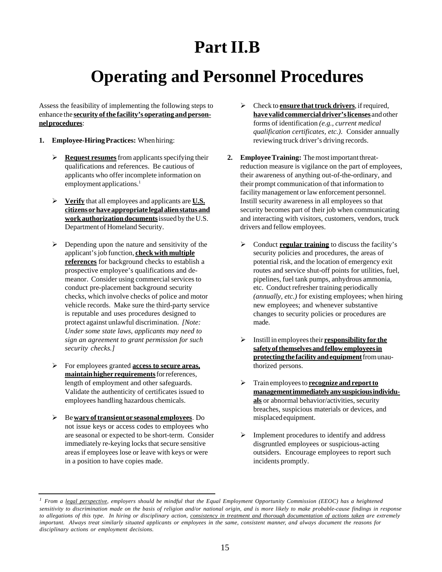# **Part II.B**

# **Operating and Personnel Procedures**

Assess the feasibility of implementing the following steps to enhance the **security of the facility's operating and personnel procedures**:

- **1. Employee-Hiring Practices:** When hiring:
	- **Request resumes** from applicants specifying their qualifications and references. Be cautious of applicants who offer incomplete information on employment applications.<sup>1</sup>
	- **Verify** that all employees and applicants are **U.S. citizens or have appropriate legal alien status and work authorization documents** issued by the U.S. Department of Homeland Security.
	- $\triangleright$  Depending upon the nature and sensitivity of the applicant's job function, **check with multiple references** for background checks to establish a prospective employee's qualifications and demeanor. Consider using commercial services to conduct pre-placement background security checks, which involve checks of police and motor vehicle records. Make sure the third-party service is reputable and uses procedures designed to protect against unlawful discrimination. *[Note: Under some state laws, applicants may need to sign an agreement to grant permission for such security checks.]*
	- For employees granted **access to secure areas, maintain higher requirements** for references, length of employment and other safeguards. Validate the authenticity of certificates issued to employees handling hazardous chemicals.
	- Be **wary of transient or seasonal employees**. Do not issue keys or access codes to employees who are seasonal or expected to be short-term. Consider immediately re-keying locks that secure sensitive areas if employees lose or leave with keys or were in a position to have copies made.
- Check to **ensure that truck drivers**, if required, **have valid commercial driver's licenses** and other forms of identification *(e.g., current medical qualification certificates, etc.)*. Consider annually reviewing truck driver's driving records.
- **2. Employee Training:** The most important threatreduction measure is vigilance on the part of employees, their awareness of anything out-of-the-ordinary, and their prompt communication of that information to facility management or law enforcement personnel. Instill security awareness in all employees so that security becomes part of their job when communicating and interacting with visitors, customers, vendors, truck drivers and fellow employees.
	- Conduct **regular training** to discuss the facility's security policies and procedures, the areas of potential risk, and the location of emergency exit routes and service shut-off points for utilities, fuel, pipelines, fuel tank pumps, anhydrous ammonia, etc. Conduct refresher training periodically *(annually, etc.)* for existing employees; when hiring new employees; and whenever substantive changes to security policies or procedures are made.
	- Instill in employees their **responsibility for the safety of themselves and fellow employees in protecting the facility and equipment** from unauthorized persons.
	- Train employees to **recognize and report to management immediately any suspicious individuals** or abnormal behavior/activities, security breaches, suspicious materials or devices, and misplaced equipment.
	- $\triangleright$  Implement procedures to identify and address disgruntled employees or suspicious-acting outsiders. Encourage employees to report such incidents promptly.

<sup>&</sup>lt;sup>1</sup> *From a legal perspective, employers should be mindful that the Equal Employment Opportunity Commission (EEOC) has a heightened sensitivity to discrimination made on the basis of religion and/or national origin, and is more likely to make probable-cause findings in response to allegations of this type. In hiring or disciplinary action, consistency in treatment and thorough documentation of actions taken are extremely important. Always treat similarly situated applicants or employees in the same, consistent manner, and always document the reasons for disciplinary actions or employment decisions.*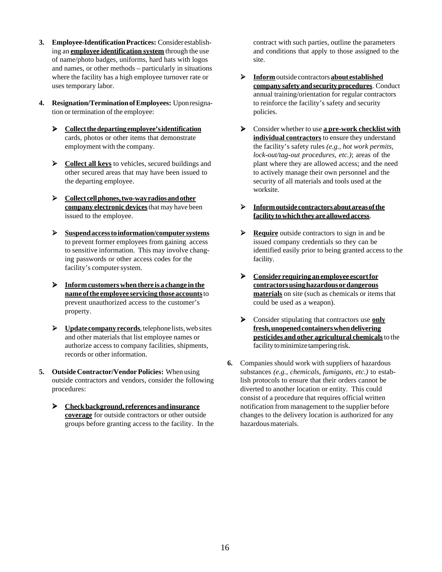- **3. Employee-Identification Practices:** Consider establishing an **employee identification system** through the use of name/photo badges, uniforms, hard hats with logos and names, or other methods – particularly in situations where the facility has a high employee turnover rate or uses temporary labor.
- **4. Resignation/Termination of Employees:** Upon resignation or termination of the employee:
	- **Collect the departing employee's identification** cards, photos or other items that demonstrate employment with the company.
	- **EXECUTE:** Collect all keys to vehicles, secured buildings and other secured areas that may have been issued to the departing employee.
	- **Collect cell phones, two-way radios and other company electronic devices** that may have been issued to the employee.
	- **Suspend access to information/computer systems** to prevent former employees from gaining access to sensitive information. This may involve changing passwords or other access codes for the facility's computer system.
	- **Inform customers when there is a change in the name of the employee servicing those accounts** to prevent unauthorized access to the customer's property.
	- **Example 1** Update company records, telephone lists, web sites and other materials that list employee names or authorize access to company facilities, shipments, records or other information.
- **5. Outside Contractor/Vendor Policies:** When using outside contractors and vendors, consider the following procedures:
	- **Check background, references and insurance coverage** for outside contractors or other outside groups before granting access to the facility. In the

contract with such parties, outline the parameters and conditions that apply to those assigned to the site.

- **Inform** outside contractors **about established company safety and security procedures**. Conduct annual training/orientation for regular contractors to reinforce the facility's safety and security policies.
- Consider whether to use **a pre-work checklist with individual contractors** to ensure they understand the facility's safety rules *(e.g., hot work permits, lock-out/tag-out procedures, etc.)*; areas of the plant where they are allowed access; and the need to actively manage their own personnel and the security of all materials and tools used at the worksite.
- **Inform outside contractors about areas of the facility to which they are allowed access**.
- **Require** outside contractors to sign in and be issued company credentials so they can be identified easily prior to being granted access to the facility.
- **Consider requiring an employee escort for contractors using hazardous or dangerous materials** on site (such as chemicals or items that could be used as a weapon).
- Consider stipulating that contractors use **only fresh, unopened containers when delivering pesticides and other agricultural chemicals** to the facility to minimize tampering risk.
- **6.** Companies should work with suppliers of hazardous substances *(e.g., chemicals, fumigants, etc.)* to establish protocols to ensure that their orders cannot be diverted to another location or entity. This could consist of a procedure that requires official written notification from management to the supplier before changes to the delivery location is authorized for any hazardous materials.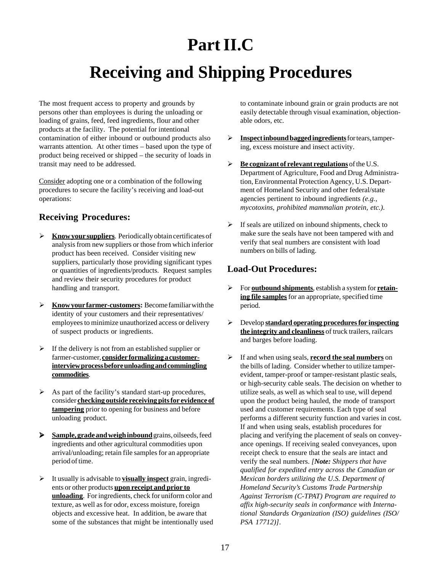# **Part II.C**

# **Receiving and Shipping Procedures**

The most frequent access to property and grounds by persons other than employees is during the unloading or loading of grains, feed, feed ingredients, flour and other products at the facility. The potential for intentional contamination of either inbound or outbound products also warrants attention. At other times – based upon the type of product being received or shipped – the security of loads in transit may need to be addressed.

Consider adopting one or a combination of the following procedures to secure the facility's receiving and load-out operations:

### **Receiving Procedures:**

- **Know your suppliers**. Periodically obtain certificates of analysis from new suppliers or those from which inferior product has been received. Consider visiting new suppliers, particularly those providing significant types or quantities of ingredients/products. Request samples and review their security procedures for product handling and transport.
- **Know your farmer-customers:** Become familiar with the identity of your customers and their representatives/ employees to minimize unauthorized access or delivery of suspect products or ingredients.
- $\triangleright$  If the delivery is not from an established supplier or farmer-customer, **consider formalizing a customerinterview process before unloading and commingling commodities**.
- $\triangleright$  As part of the facility's standard start-up procedures, consider **checking outside receiving pits for evidence of tampering** prior to opening for business and before unloading product.
- **Sample, grade and weigh inbound** grains, oilseeds, feed ingredients and other agricultural commodities upon arrival/unloading; retain file samples for an appropriate period of time.
- It usually is advisable to **visually inspect** grain, ingredients or other products **upon receipt and prior to unloading**. For ingredients, check for uniform color and texture, as well as for odor, excess moisture, foreign objects and excessive heat. In addition, be aware that some of the substances that might be intentionally used

to contaminate inbound grain or grain products are not easily detectable through visual examination, objectionable odors, etc.

- **Inspect inbound bagged ingredients** for tears, tampering, excess moisture and insect activity.
- **Be cognizant of relevant regulations** of the U.S. Department of Agriculture, Food and Drug Administration, Environmental Protection Agency, U.S. Department of Homeland Security and other federal/state agencies pertinent to inbound ingredients *(e.g., mycotoxins, prohibited mammalian protein, etc.)*.
- $\triangleright$  If seals are utilized on inbound shipments, check to make sure the seals have not been tampered with and verify that seal numbers are consistent with load numbers on bills of lading.

## **Load-Out Procedures:**

- For **outbound shipments**, establish a system for **retaining file samples** for an appropriate, specified time period.
- Develop **standard operating procedures for inspecting the integrity and cleanliness** of truck trailers, railcars and barges before loading.
- If and when using seals, **record the seal numbers** on the bills of lading. Consider whether to utilize tamperevident, tamper-proof or tamper-resistant plastic seals, or high-security cable seals. The decision on whether to utilize seals, as well as which seal to use, will depend upon the product being hauled, the mode of transport used and customer requirements. Each type of seal performs a different security function and varies in cost. If and when using seals, establish procedures for placing and verifying the placement of seals on conveyance openings. If receiving sealed conveyances, upon receipt check to ensure that the seals are intact and verify the seal numbers. *[Note: Shippers that have qualified for expedited entry across the Canadian or Mexican borders utilizing the U.S. Department of Homeland Security's Customs Trade Partnership Against Terrorism (C-TPAT) Program are required to affix high-security seals in conformance with International Standards Organization (ISO) guidelines (ISO/ PSA 17712)]*.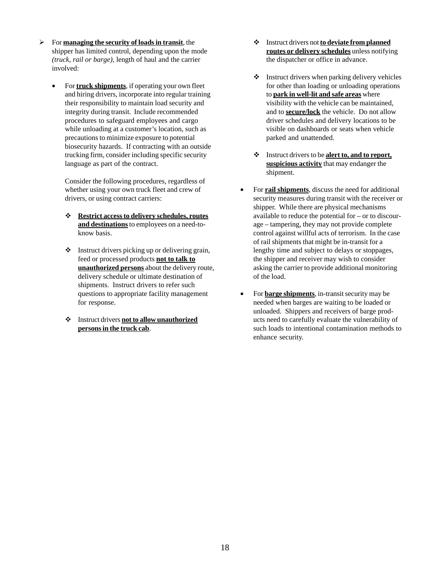- For **managing the security of loads in transit**, the shipper has limited control, depending upon the mode *(truck, rail or barge)*, length of haul and the carrier involved:
	- For **truck shipments**, if operating your own fleet and hiring drivers, incorporate into regular training their responsibility to maintain load security and integrity during transit. Include recommended procedures to safeguard employees and cargo while unloading at a customer's location, such as precautions to minimize exposure to potential biosecurity hazards. If contracting with an outside trucking firm, consider including specific security language as part of the contract.

Consider the following procedures, regardless of whether using your own truck fleet and crew of drivers, or using contract carriers:

- **Restrict access to delivery schedules, routes and destinations** to employees on a need-toknow basis.
- $\triangleleft$  Instruct drivers picking up or delivering grain, feed or processed products **not to talk to unauthorized persons** about the delivery route, delivery schedule or ultimate destination of shipments. Instruct drivers to refer such questions to appropriate facility management for response.
- Instruct drivers **not to allow unauthorized persons in the truck cab**.
- Instruct drivers not **to deviate from planned routes or delivery schedules** unless notifying the dispatcher or office in advance.
- $\cdot$  Instruct drivers when parking delivery vehicles for other than loading or unloading operations to **park in well-lit and safe areas** where visibility with the vehicle can be maintained, and to **secure/lock** the vehicle. Do not allow driver schedules and delivery locations to be visible on dashboards or seats when vehicle parked and unattended.
- Instruct drivers to be **alert to, and to report, suspicious activity** that may endanger the shipment.
- For **rail shipments**, discuss the need for additional security measures during transit with the receiver or shipper. While there are physical mechanisms available to reduce the potential for – or to discourage – tampering, they may not provide complete control against willful acts of terrorism. In the case of rail shipments that might be in-transit for a lengthy time and subject to delays or stoppages, the shipper and receiver may wish to consider asking the carrier to provide additional monitoring of the load.
- For **barge shipments**, in-transit security may be needed when barges are waiting to be loaded or unloaded. Shippers and receivers of barge products need to carefully evaluate the vulnerability of such loads to intentional contamination methods to enhance security.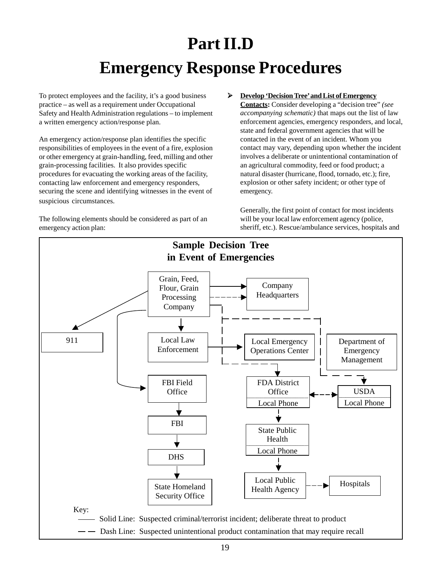# **Part II.D Emergency Response Procedures**

To protect employees and the facility, it's a good business practice – as well as a requirement under Occupational Safety and Health Administration regulations – to implement a written emergency action/response plan.

An emergency action/response plan identifies the specific responsibilities of employees in the event of a fire, explosion or other emergency at grain-handling, feed, milling and other grain-processing facilities. It also provides specific procedures for evacuating the working areas of the facility, contacting law enforcement and emergency responders, securing the scene and identifying witnesses in the event of suspicious circumstances.

The following elements should be considered as part of an emergency action plan:

 **Develop 'Decision Tree' and List of Emergency Contacts:** Consider developing a "decision tree" *(see accompanying schematic)* that maps out the list of law enforcement agencies, emergency responders, and local, state and federal government agencies that will be contacted in the event of an incident. Whom you contact may vary, depending upon whether the incident involves a deliberate or unintentional contamination of an agricultural commodity, feed or food product; a natural disaster (hurricane, flood, tornado, etc.); fire, explosion or other safety incident; or other type of emergency.

Generally, the first point of contact for most incidents will be your local law enforcement agency (police, sheriff, etc.). Rescue/ambulance services, hospitals and

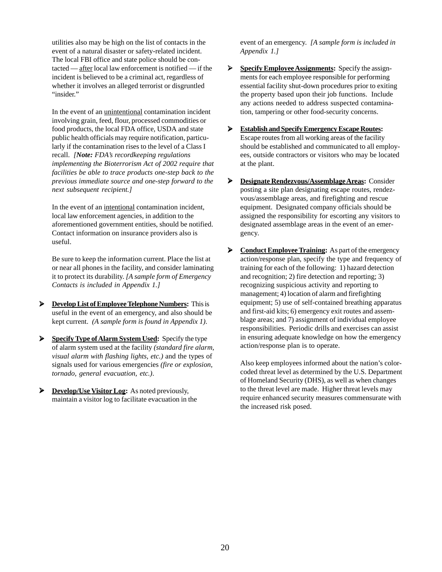utilities also may be high on the list of contacts in the event of a natural disaster or safety-related incident. The local FBI office and state police should be contacted — after local law enforcement is notified — if the incident is believed to be a criminal act, regardless of whether it involves an alleged terrorist or disgruntled "insider."

In the event of an unintentional contamination incident involving grain, feed, flour, processed commodities or food products, the local FDA office, USDA and state public health officials may require notification, particularly if the contamination rises to the level of a Class I recall. *[Note: FDA's recordkeeping regulations implementing the Bioterrorism Act of 2002 require that facilities be able to trace products one-step back to the previous immediate source and one-step forward to the next subsequent recipient.]*

In the event of an intentional contamination incident, local law enforcement agencies, in addition to the aforementioned government entities, should be notified. Contact information on insurance providers also is useful.

Be sure to keep the information current. Place the list at or near all phones in the facility, and consider laminating it to protect its durability. *[A sample form of Emergency Contacts is included in Appendix 1.]*

- **Develop List of Employee Telephone Numbers:** This is useful in the event of an emergency, and also should be kept current. *(A sample form is found in Appendix 1)*.
- **Specify Type of Alarm System Used:** Specify the type of alarm system used at the facility *(standard fire alarm, visual alarm with flashing lights, etc.)* and the types of signals used for various emergencies *(fire or explosion, tornado, general evacuation, etc.)*.
- **Develop/Use Visitor Log:** As noted previously, maintain a visitor log to facilitate evacuation in the

event of an emergency. *[A sample form is included in Appendix 1.]*

- **Specify Employee Assignments:** Specify the assignments for each employee responsible for performing essential facility shut-down procedures prior to exiting the property based upon their job functions. Include any actions needed to address suspected contamination, tampering or other food-security concerns.
- **Establish and Specify Emergency Escape Routes:** Escape routes from all working areas of the facility should be established and communicated to all employees, outside contractors or visitors who may be located at the plant.
- **Designate Rendezvous/Assemblage Areas:** Consider posting a site plan designating escape routes, rendezvous/assemblage areas, and firefighting and rescue equipment. Designated company officials should be assigned the responsibility for escorting any visitors to designated assemblage areas in the event of an emergency.
- **Example 2 Conduct Employee Training:** As part of the emergency action/response plan, specify the type and frequency of training for each of the following: 1) hazard detection and recognition; 2) fire detection and reporting; 3) recognizing suspicious activity and reporting to management; 4) location of alarm and firefighting equipment; 5) use of self-contained breathing apparatus and first-aid kits; 6) emergency exit routes and assemblage areas; and 7) assignment of individual employee responsibilities. Periodic drills and exercises can assist in ensuring adequate knowledge on how the emergency action/response plan is to operate.

Also keep employees informed about the nation's colorcoded threat level as determined by the U.S. Department of Homeland Security (DHS), as well as when changes to the threat level are made. Higher threat levels may require enhanced security measures commensurate with the increased risk posed.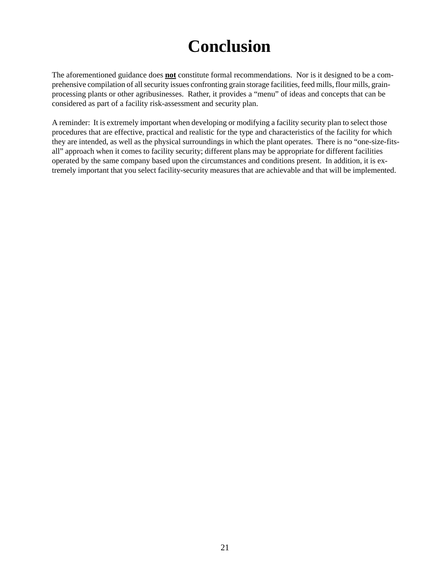# **Conclusion**

The aforementioned guidance does **not** constitute formal recommendations. Nor is it designed to be a comprehensive compilation of all security issues confronting grain storage facilities, feed mills, flour mills, grainprocessing plants or other agribusinesses. Rather, it provides a "menu" of ideas and concepts that can be considered as part of a facility risk-assessment and security plan.

A reminder: It is extremely important when developing or modifying a facility security plan to select those procedures that are effective, practical and realistic for the type and characteristics of the facility for which they are intended, as well as the physical surroundings in which the plant operates. There is no "one-size-fitsall" approach when it comes to facility security; different plans may be appropriate for different facilities operated by the same company based upon the circumstances and conditions present. In addition, it is extremely important that you select facility-security measures that are achievable and that will be implemented.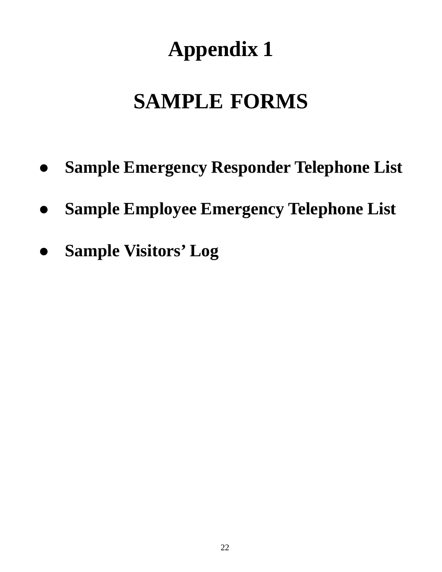# **Appendix 1**

# **SAMPLE FORMS**

- **Sample Emergency Responder Telephone List**
- **Sample Employee Emergency Telephone List**
- **Sample Visitors' Log**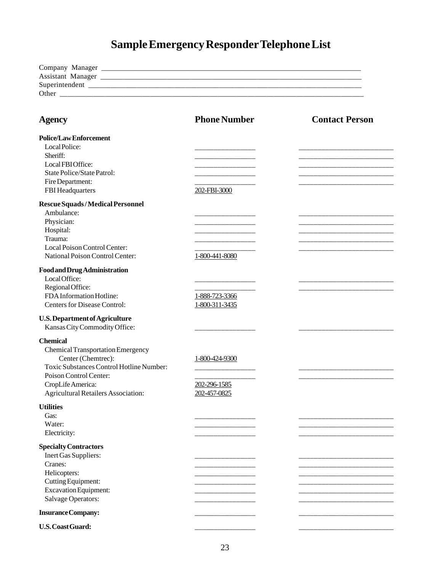# **Sample Emergency Responder Telephone List**

| Company Manager   |  |  |
|-------------------|--|--|
| Assistant Manager |  |  |
| Superintendent    |  |  |
| Other             |  |  |
|                   |  |  |

| <b>Agency</b>                                                                                                                                                                                                              | <b>Phone Number</b>                            | <b>Contact Person</b> |
|----------------------------------------------------------------------------------------------------------------------------------------------------------------------------------------------------------------------------|------------------------------------------------|-----------------------|
| <b>Police/Law Enforcement</b><br>Local Police:<br>Sheriff:<br>LocalFBIOffice:<br>State Police/State Patrol:<br>Fire Department:<br>FBI Headquarters                                                                        | 202-FBI-3000                                   |                       |
| Rescue Squads/Medical Personnel<br>Ambulance:<br>Physician:<br>Hospital:<br>Trauma:<br>Local Poison Control Center:<br>National Poison Control Center:                                                                     | 1-800-441-8080                                 |                       |
| <b>Food and Drug Administration</b><br>Local Office:<br>Regional Office:<br>FDA Information Hotline:<br><b>Centers for Disease Control:</b>                                                                                | 1-888-723-3366<br>1-800-311-3435               |                       |
| <b>U.S. Department of Agriculture</b><br>Kansas City Commodity Office:                                                                                                                                                     |                                                |                       |
| <b>Chemical</b><br><b>Chemical Transportation Emergency</b><br>Center (Chemtrec):<br>Toxic Substances Control Hotline Number:<br>Poison Control Center:<br>CropLife America:<br><b>Agricultural Retailers Association:</b> | 1-800-424-9300<br>202-296-1585<br>202-457-0825 |                       |
| <b>Utilities</b><br>Gas:<br>Water:<br>Electricity:                                                                                                                                                                         |                                                |                       |
| <b>Specialty Contractors</b><br>Inert Gas Suppliers:<br>Cranes:<br>Helicopters:<br>Cutting Equipment:<br>Excavation Equipment:<br>Salvage Operators:                                                                       |                                                |                       |
| <b>Insurance Company:</b>                                                                                                                                                                                                  |                                                |                       |
| <b>U.S. Coast Guard:</b>                                                                                                                                                                                                   |                                                |                       |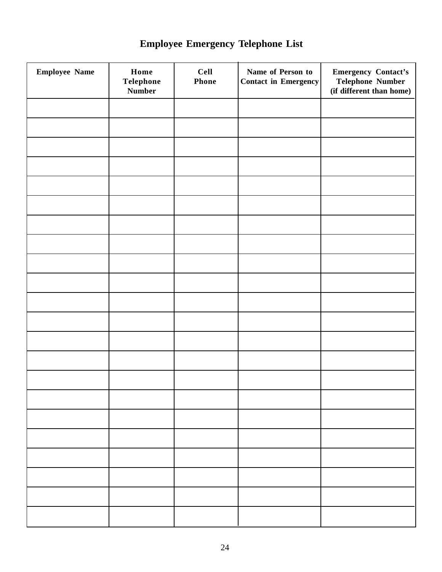| <b>Employee Name</b> | Home<br>Telephone<br><b>Number</b> | <b>Cell</b><br><b>Phone</b> | Name of Person to<br>Contact in Emergency | <b>Emergency Contact's</b><br><b>Telephone Number</b><br>(if different than home) |
|----------------------|------------------------------------|-----------------------------|-------------------------------------------|-----------------------------------------------------------------------------------|
|                      |                                    |                             |                                           |                                                                                   |
|                      |                                    |                             |                                           |                                                                                   |
|                      |                                    |                             |                                           |                                                                                   |
|                      |                                    |                             |                                           |                                                                                   |
|                      |                                    |                             |                                           |                                                                                   |
|                      |                                    |                             |                                           |                                                                                   |
|                      |                                    |                             |                                           |                                                                                   |
|                      |                                    |                             |                                           |                                                                                   |
|                      |                                    |                             |                                           |                                                                                   |
|                      |                                    |                             |                                           |                                                                                   |
|                      |                                    |                             |                                           |                                                                                   |
|                      |                                    |                             |                                           |                                                                                   |
|                      |                                    |                             |                                           |                                                                                   |
|                      |                                    |                             |                                           |                                                                                   |
|                      |                                    |                             |                                           |                                                                                   |
|                      |                                    |                             |                                           |                                                                                   |
|                      |                                    |                             |                                           |                                                                                   |
|                      |                                    |                             |                                           |                                                                                   |
|                      |                                    |                             |                                           |                                                                                   |
|                      |                                    |                             |                                           |                                                                                   |
|                      |                                    |                             |                                           |                                                                                   |
|                      |                                    |                             |                                           |                                                                                   |

# **Employee Emergency Telephone List**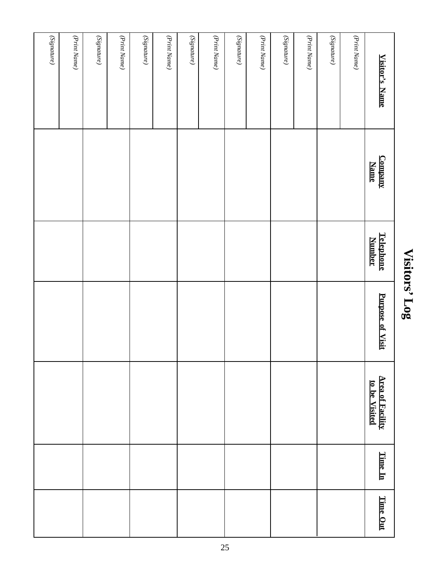# Visitors' Log **Visitors' Log**

| $\left( Signature\right)$ | (Print Name) | (Print Name) | (Print Name) | (Print Name) | $\left( Signature\right)$ | (Print Name) | $(Signature) % \begin{center} \includegraphics[width=0.8\textwidth]{figs/2012-0025_185_185_28_1416_288_1416_288_1416_288_1416_288_284_2816_288_2816_288_2816_288_2816_288_2816_288_2816_288_2816_288_2816_288_2816_288_2816_288_2816_288_2816_288_2816_288_2816_288_2816_28$ | (Print Name) | (Signature) | (Print Name) | <b>Visitor's Name</b>                    |
|---------------------------|--------------|--------------|--------------|--------------|---------------------------|--------------|------------------------------------------------------------------------------------------------------------------------------------------------------------------------------------------------------------------------------------------------------------------------------|--------------|-------------|--------------|------------------------------------------|
|                           |              |              |              |              |                           |              |                                                                                                                                                                                                                                                                              |              |             |              | <u>Company</u><br><b>Name</b>            |
|                           |              |              |              |              |                           |              |                                                                                                                                                                                                                                                                              |              |             |              | <b>Telephone</b><br><b>Number</b>        |
|                           |              |              |              |              |                           |              |                                                                                                                                                                                                                                                                              |              |             |              | Purpose of Visit                         |
|                           |              |              |              |              |                           |              |                                                                                                                                                                                                                                                                              |              |             |              | <b>Area of Facility</b><br>to be Visited |
|                           |              |              |              |              |                           |              |                                                                                                                                                                                                                                                                              |              |             |              | Time In                                  |
|                           |              |              |              |              |                           |              |                                                                                                                                                                                                                                                                              |              |             |              | Time Out                                 |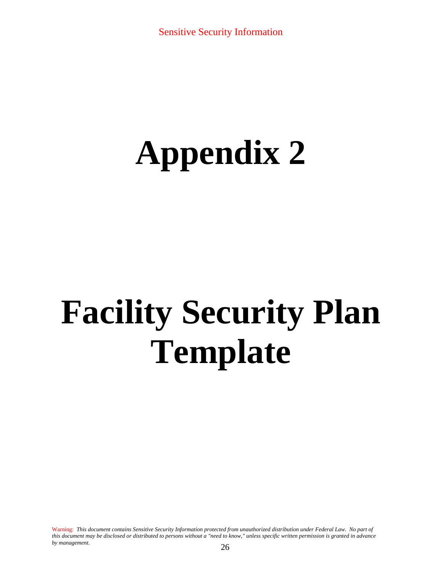# **Appendix 2**

# **Facility Security Plan Template**

Warning: *This document contains Sensitive Security Information protected from unauthorized distribution under Federal Law. No part of this document may be disclosed or distributed to persons without a "need to know," unless specific written permission is granted in advance by management*. 26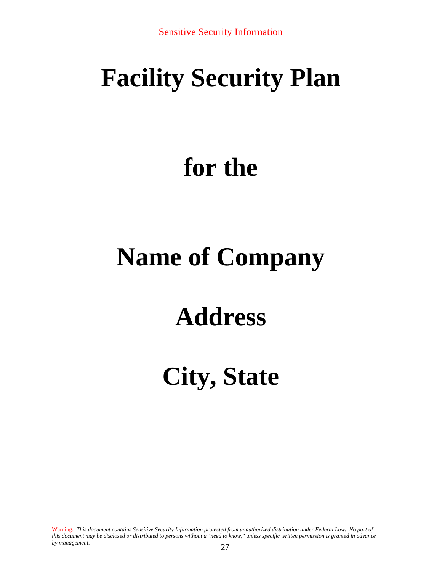# **Facility Security Plan**

# **for the**

# **Name of Company**

# **Address**

# **City, State**

Warning: *This document contains Sensitive Security Information protected from unauthorized distribution under Federal Law. No part of this document may be disclosed or distributed to persons without a "need to know," unless specific written permission is granted in advance by management*. 27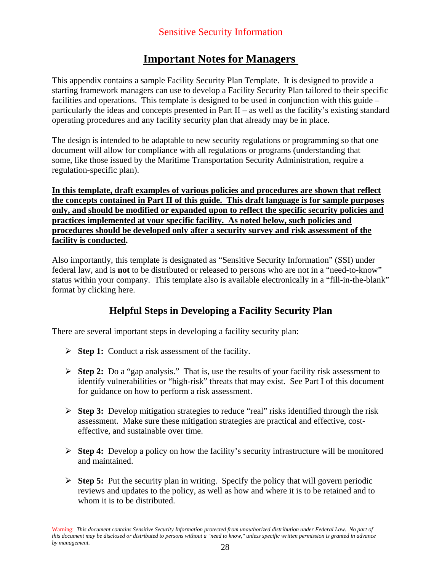# **Important Notes for Managers**

This appendix contains a sample Facility Security Plan Template. It is designed to provide a starting framework managers can use to develop a Facility Security Plan tailored to their specific facilities and operations. This template is designed to be used in conjunction with this guide – particularly the ideas and concepts presented in Part II – as well as the facility's existing standard operating procedures and any facility security plan that already may be in place.

The design is intended to be adaptable to new security regulations or programming so that one document will allow for compliance with all regulations or programs (understanding that some, like those issued by the Maritime Transportation Security Administration, require a regulation-specific plan).

**In this template, draft examples of various policies and procedures are shown that reflect the concepts contained in Part II of this guide. This draft language is for sample purposes only, and should be modified or expanded upon to reflect the specific security policies and practices implemented at your specific facility. As noted below, such policies and procedures should be developed only after a security survey and risk assessment of the facility is conducted.** 

Also importantly, this template is designated as "Sensitive Security Information" (SSI) under federal law, and is **not** to be distributed or released to persons who are not in a "need-to-know" status within your company. This template also is available electronically in a "fill-in-the-blank" format by clicking here.

# **Helpful Steps in Developing a Facility Security Plan**

There are several important steps in developing a facility security plan:

- ¾ **Step 1:** Conduct a risk assessment of the facility.
- ¾ **Step 2:** Do a "gap analysis." That is, use the results of your facility risk assessment to identify vulnerabilities or "high-risk" threats that may exist. See Part I of this document for guidance on how to perform a risk assessment.
- ¾ **Step 3:** Develop mitigation strategies to reduce "real" risks identified through the risk assessment. Make sure these mitigation strategies are practical and effective, costeffective, and sustainable over time.
- ¾ **Step 4:** Develop a policy on how the facility's security infrastructure will be monitored and maintained.
- ¾ **Step 5:** Put the security plan in writing. Specify the policy that will govern periodic reviews and updates to the policy, as well as how and where it is to be retained and to whom it is to be distributed.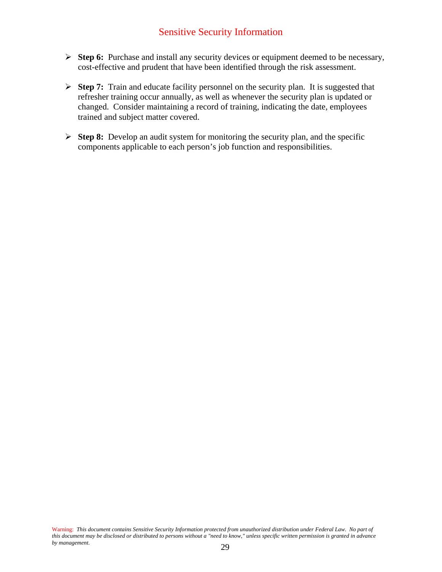## Sensitive Security Information

- ¾ **Step 6:** Purchase and install any security devices or equipment deemed to be necessary, cost-effective and prudent that have been identified through the risk assessment.
- ¾ **Step 7:** Train and educate facility personnel on the security plan. It is suggested that refresher training occur annually, as well as whenever the security plan is updated or changed. Consider maintaining a record of training, indicating the date, employees trained and subject matter covered.
- ¾ **Step 8:** Develop an audit system for monitoring the security plan, and the specific components applicable to each person's job function and responsibilities.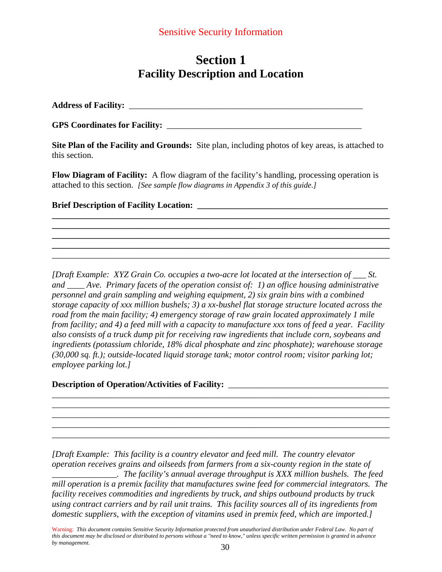# **Section 1 Facility Description and Location**

**Address of Facility:** \_\_\_\_\_\_\_\_\_\_\_\_\_\_\_\_\_\_\_\_\_\_\_\_\_\_\_\_\_\_\_\_\_\_\_\_\_\_\_\_\_\_\_\_\_\_\_\_\_\_\_\_\_\_

**GPS Coordinates for Facility:** \_\_\_\_\_\_\_\_\_\_\_\_\_\_\_\_\_\_\_\_\_\_\_\_\_\_\_\_\_\_\_\_\_\_\_\_\_\_\_\_\_\_\_\_\_

**Site Plan of the Facility and Grounds:** Site plan, including photos of key areas, is attached to this section.

**Flow Diagram of Facility:** A flow diagram of the facility's handling, processing operation is attached to this section. *[See sample flow diagrams in Appendix 3 of this guide.]* 

**\_\_\_\_\_\_\_\_\_\_\_\_\_\_\_\_\_\_\_\_\_\_\_\_\_\_\_\_\_\_\_\_\_\_\_\_\_\_\_\_\_\_\_\_\_\_\_\_\_\_\_\_\_\_\_\_\_\_\_\_\_\_\_\_\_\_\_\_\_\_\_\_\_\_\_\_\_\_ \_\_\_\_\_\_\_\_\_\_\_\_\_\_\_\_\_\_\_\_\_\_\_\_\_\_\_\_\_\_\_\_\_\_\_\_\_\_\_\_\_\_\_\_\_\_\_\_\_\_\_\_\_\_\_\_\_\_\_\_\_\_\_\_\_\_\_\_\_\_\_\_\_\_\_\_\_\_ \_\_\_\_\_\_\_\_\_\_\_\_\_\_\_\_\_\_\_\_\_\_\_\_\_\_\_\_\_\_\_\_\_\_\_\_\_\_\_\_\_\_\_\_\_\_\_\_\_\_\_\_\_\_\_\_\_\_\_\_\_\_\_\_\_\_\_\_\_\_\_\_\_\_\_\_\_\_ \_\_\_\_\_\_\_\_\_\_\_\_\_\_\_\_\_\_\_\_\_\_\_\_\_\_\_\_\_\_\_\_\_\_\_\_\_\_\_\_\_\_\_\_\_\_\_\_\_\_\_\_\_\_\_\_\_\_\_\_\_\_\_\_\_\_\_\_\_\_\_\_\_\_\_\_\_\_**  \_\_\_\_\_\_\_\_\_\_\_\_\_\_\_\_\_\_\_\_\_\_\_\_\_\_\_\_\_\_\_\_\_\_\_\_\_\_\_\_\_\_\_\_\_\_\_\_\_\_\_\_\_\_\_\_\_\_\_\_\_\_\_\_\_\_\_\_\_\_\_\_\_\_\_\_\_\_

**Brief Description of Facility Location:** 

*[Draft Example: XYZ Grain Co. occupies a two-acre lot located at the intersection of \_\_\_ St. and \_\_\_\_ Ave. Primary facets of the operation consist of: 1) an office housing administrative personnel and grain sampling and weighing equipment, 2) six grain bins with a combined storage capacity of xxx million bushels; 3) a xx-bushel flat storage structure located across the road from the main facility; 4) emergency storage of raw grain located approximately 1 mile from facility; and 4) a feed mill with a capacity to manufacture xxx tons of feed a year. Facility also consists of a truck dump pit for receiving raw ingredients that include corn, soybeans and ingredients (potassium chloride, 18% dical phosphate and zinc phosphate); warehouse storage (30,000 sq. ft.); outside-located liquid storage tank; motor control room; visitor parking lot; employee parking lot.]* 

### Description of Operation/Activities of Facility: \_\_\_\_\_\_\_\_\_\_\_\_\_\_\_\_\_\_\_\_\_\_\_\_\_\_\_\_\_\_\_\_

*[Draft Example: This facility is a country elevator and feed mill. The country elevator operation receives grains and oilseeds from farmers from a six-county region in the state of* 

\_\_\_\_\_\_\_\_\_\_\_\_\_\_\_\_\_\_\_\_\_\_\_\_\_\_\_\_\_\_\_\_\_\_\_\_\_\_\_\_\_\_\_\_\_\_\_\_\_\_\_\_\_\_\_\_\_\_\_\_\_\_\_\_\_\_\_\_\_\_\_\_\_\_\_\_\_\_ \_\_\_\_\_\_\_\_\_\_\_\_\_\_\_\_\_\_\_\_\_\_\_\_\_\_\_\_\_\_\_\_\_\_\_\_\_\_\_\_\_\_\_\_\_\_\_\_\_\_\_\_\_\_\_\_\_\_\_\_\_\_\_\_\_\_\_\_\_\_\_\_\_\_\_\_\_\_ \_\_\_\_\_\_\_\_\_\_\_\_\_\_\_\_\_\_\_\_\_\_\_\_\_\_\_\_\_\_\_\_\_\_\_\_\_\_\_\_\_\_\_\_\_\_\_\_\_\_\_\_\_\_\_\_\_\_\_\_\_\_\_\_\_\_\_\_\_\_\_\_\_\_\_\_\_\_ \_\_\_\_\_\_\_\_\_\_\_\_\_\_\_\_\_\_\_\_\_\_\_\_\_\_\_\_\_\_\_\_\_\_\_\_\_\_\_\_\_\_\_\_\_\_\_\_\_\_\_\_\_\_\_\_\_\_\_\_\_\_\_\_\_\_\_\_\_\_\_\_\_\_\_\_\_\_ \_\_\_\_\_\_\_\_\_\_\_\_\_\_\_\_\_\_\_\_\_\_\_\_\_\_\_\_\_\_\_\_\_\_\_\_\_\_\_\_\_\_\_\_\_\_\_\_\_\_\_\_\_\_\_\_\_\_\_\_\_\_\_\_\_\_\_\_\_\_\_\_\_\_\_\_\_\_

*\_\_\_\_\_\_\_\_\_\_\_\_\_\_\_. The facility's annual average throughput is XXX million bushels. The feed mill operation is a premix facility that manufactures swine feed for commercial integrators. The facility receives commodities and ingredients by truck, and ships outbound products by truck using contract carriers and by rail unit trains. This facility sources all of its ingredients from domestic suppliers, with the exception of vitamins used in premix feed, which are imported.]* 

Warning: *This document contains Sensitive Security Information protected from unauthorized distribution under Federal Law. No part of this document may be disclosed or distributed to persons without a "need to know," unless specific written permission is granted in advance by management*.  $30$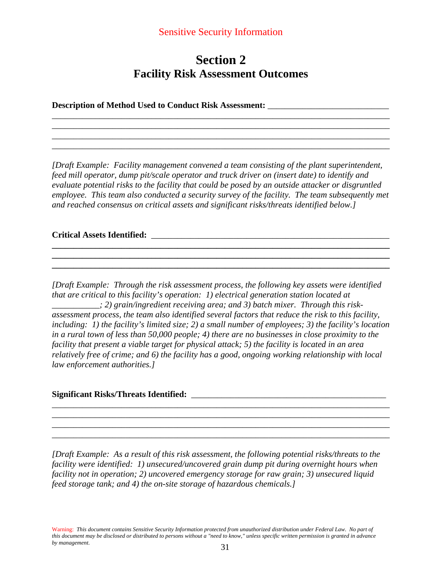### Sensitive Security Information

# **Section 2 Facility Risk Assessment Outcomes**

\_\_\_\_\_\_\_\_\_\_\_\_\_\_\_\_\_\_\_\_\_\_\_\_\_\_\_\_\_\_\_\_\_\_\_\_\_\_\_\_\_\_\_\_\_\_\_\_\_\_\_\_\_\_\_\_\_\_\_\_\_\_\_\_\_\_\_\_\_\_\_\_\_\_\_\_\_\_ \_\_\_\_\_\_\_\_\_\_\_\_\_\_\_\_\_\_\_\_\_\_\_\_\_\_\_\_\_\_\_\_\_\_\_\_\_\_\_\_\_\_\_\_\_\_\_\_\_\_\_\_\_\_\_\_\_\_\_\_\_\_\_\_\_\_\_\_\_\_\_\_\_\_\_\_\_\_ \_\_\_\_\_\_\_\_\_\_\_\_\_\_\_\_\_\_\_\_\_\_\_\_\_\_\_\_\_\_\_\_\_\_\_\_\_\_\_\_\_\_\_\_\_\_\_\_\_\_\_\_\_\_\_\_\_\_\_\_\_\_\_\_\_\_\_\_\_\_\_\_\_\_\_\_\_\_ \_\_\_\_\_\_\_\_\_\_\_\_\_\_\_\_\_\_\_\_\_\_\_\_\_\_\_\_\_\_\_\_\_\_\_\_\_\_\_\_\_\_\_\_\_\_\_\_\_\_\_\_\_\_\_\_\_\_\_\_\_\_\_\_\_\_\_\_\_\_\_\_\_\_\_\_\_\_

**Description of Method Used to Conduct Risk Assessment:** \_\_\_\_\_\_\_\_\_\_\_\_\_\_\_\_\_\_\_\_\_\_\_\_\_\_\_\_

*[Draft Example: Facility management convened a team consisting of the plant superintendent, feed mill operator, dump pit/scale operator and truck driver on (insert date) to identify and evaluate potential risks to the facility that could be posed by an outside attacker or disgruntled employee. This team also conducted a security survey of the facility. The team subsequently met and reached consensus on critical assets and significant risks/threats identified below.]* 

**\_\_\_\_\_\_\_\_\_\_\_\_\_\_\_\_\_\_\_\_\_\_\_\_\_\_\_\_\_\_\_\_\_\_\_\_\_\_\_\_\_\_\_\_\_\_\_\_\_\_\_\_\_\_\_\_\_\_\_\_\_\_\_\_\_\_\_\_\_\_\_\_\_\_\_\_\_\_ \_\_\_\_\_\_\_\_\_\_\_\_\_\_\_\_\_\_\_\_\_\_\_\_\_\_\_\_\_\_\_\_\_\_\_\_\_\_\_\_\_\_\_\_\_\_\_\_\_\_\_\_\_\_\_\_\_\_\_\_\_\_\_\_\_\_\_\_\_\_\_\_\_\_\_\_\_\_ \_\_\_\_\_\_\_\_\_\_\_\_\_\_\_\_\_\_\_\_\_\_\_\_\_\_\_\_\_\_\_\_\_\_\_\_\_\_\_\_\_\_\_\_\_\_\_\_\_\_\_\_\_\_\_\_\_\_\_\_\_\_\_\_\_\_\_\_\_\_\_\_\_\_\_\_\_\_** 

#### **Critical Assets Identified:** \_\_\_\_\_\_\_\_\_\_\_\_\_\_\_\_\_\_\_\_\_\_\_\_\_\_\_\_\_\_\_\_\_\_\_\_\_\_\_\_\_\_\_\_\_\_\_\_\_\_\_\_\_\_\_

*[Draft Example: Through the risk assessment process, the following key assets were identified that are critical to this facility's operation: 1) electrical generation station located at \_\_\_\_\_\_\_\_\_\_\_; 2) grain/ingredient receiving area; and 3) batch mixer. Through this riskassessment process, the team also identified several factors that reduce the risk to this facility, including: 1) the facility's limited size; 2) a small number of employees; 3) the facility's location in a rural town of less than 50,000 people; 4) there are no businesses in close proximity to the facility that present a viable target for physical attack; 5) the facility is located in an area relatively free of crime; and 6) the facility has a good, ongoing working relationship with local law enforcement authorities.]* 

\_\_\_\_\_\_\_\_\_\_\_\_\_\_\_\_\_\_\_\_\_\_\_\_\_\_\_\_\_\_\_\_\_\_\_\_\_\_\_\_\_\_\_\_\_\_\_\_\_\_\_\_\_\_\_\_\_\_\_\_\_\_\_\_\_\_\_\_\_\_\_\_\_\_\_\_\_\_ \_\_\_\_\_\_\_\_\_\_\_\_\_\_\_\_\_\_\_\_\_\_\_\_\_\_\_\_\_\_\_\_\_\_\_\_\_\_\_\_\_\_\_\_\_\_\_\_\_\_\_\_\_\_\_\_\_\_\_\_\_\_\_\_\_\_\_\_\_\_\_\_\_\_\_\_\_\_ \_\_\_\_\_\_\_\_\_\_\_\_\_\_\_\_\_\_\_\_\_\_\_\_\_\_\_\_\_\_\_\_\_\_\_\_\_\_\_\_\_\_\_\_\_\_\_\_\_\_\_\_\_\_\_\_\_\_\_\_\_\_\_\_\_\_\_\_\_\_\_\_\_\_\_\_\_\_ \_\_\_\_\_\_\_\_\_\_\_\_\_\_\_\_\_\_\_\_\_\_\_\_\_\_\_\_\_\_\_\_\_\_\_\_\_\_\_\_\_\_\_\_\_\_\_\_\_\_\_\_\_\_\_\_\_\_\_\_\_\_\_\_\_\_\_\_\_\_\_\_\_\_\_\_\_\_

#### **Significant Risks/Threats Identified:**

*[Draft Example: As a result of this risk assessment, the following potential risks/threats to the facility were identified: 1) unsecured/uncovered grain dump pit during overnight hours when facility not in operation; 2) uncovered emergency storage for raw grain; 3) unsecured liquid feed storage tank; and 4) the on-site storage of hazardous chemicals.]*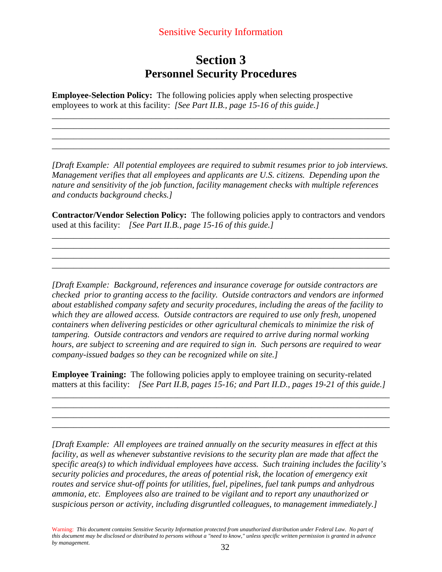# **Section 3 Personnel Security Procedures**

\_\_\_\_\_\_\_\_\_\_\_\_\_\_\_\_\_\_\_\_\_\_\_\_\_\_\_\_\_\_\_\_\_\_\_\_\_\_\_\_\_\_\_\_\_\_\_\_\_\_\_\_\_\_\_\_\_\_\_\_\_\_\_\_\_\_\_\_\_\_\_\_\_\_\_\_\_\_ \_\_\_\_\_\_\_\_\_\_\_\_\_\_\_\_\_\_\_\_\_\_\_\_\_\_\_\_\_\_\_\_\_\_\_\_\_\_\_\_\_\_\_\_\_\_\_\_\_\_\_\_\_\_\_\_\_\_\_\_\_\_\_\_\_\_\_\_\_\_\_\_\_\_\_\_\_\_ \_\_\_\_\_\_\_\_\_\_\_\_\_\_\_\_\_\_\_\_\_\_\_\_\_\_\_\_\_\_\_\_\_\_\_\_\_\_\_\_\_\_\_\_\_\_\_\_\_\_\_\_\_\_\_\_\_\_\_\_\_\_\_\_\_\_\_\_\_\_\_\_\_\_\_\_\_\_ \_\_\_\_\_\_\_\_\_\_\_\_\_\_\_\_\_\_\_\_\_\_\_\_\_\_\_\_\_\_\_\_\_\_\_\_\_\_\_\_\_\_\_\_\_\_\_\_\_\_\_\_\_\_\_\_\_\_\_\_\_\_\_\_\_\_\_\_\_\_\_\_\_\_\_\_\_\_

**Employee-Selection Policy:** The following policies apply when selecting prospective employees to work at this facility: *[See Part II.B., page 15-16 of this guide.]* 

*[Draft Example: All potential employees are required to submit resumes prior to job interviews. Management verifies that all employees and applicants are U.S. citizens. Depending upon the nature and sensitivity of the job function, facility management checks with multiple references and conducts background checks.]*

**Contractor/Vendor Selection Policy:** The following policies apply to contractors and vendors used at this facility: *[See Part II.B., page 15-16 of this guide.]* 

\_\_\_\_\_\_\_\_\_\_\_\_\_\_\_\_\_\_\_\_\_\_\_\_\_\_\_\_\_\_\_\_\_\_\_\_\_\_\_\_\_\_\_\_\_\_\_\_\_\_\_\_\_\_\_\_\_\_\_\_\_\_\_\_\_\_\_\_\_\_\_\_\_\_\_\_\_\_ \_\_\_\_\_\_\_\_\_\_\_\_\_\_\_\_\_\_\_\_\_\_\_\_\_\_\_\_\_\_\_\_\_\_\_\_\_\_\_\_\_\_\_\_\_\_\_\_\_\_\_\_\_\_\_\_\_\_\_\_\_\_\_\_\_\_\_\_\_\_\_\_\_\_\_\_\_\_ \_\_\_\_\_\_\_\_\_\_\_\_\_\_\_\_\_\_\_\_\_\_\_\_\_\_\_\_\_\_\_\_\_\_\_\_\_\_\_\_\_\_\_\_\_\_\_\_\_\_\_\_\_\_\_\_\_\_\_\_\_\_\_\_\_\_\_\_\_\_\_\_\_\_\_\_\_\_ \_\_\_\_\_\_\_\_\_\_\_\_\_\_\_\_\_\_\_\_\_\_\_\_\_\_\_\_\_\_\_\_\_\_\_\_\_\_\_\_\_\_\_\_\_\_\_\_\_\_\_\_\_\_\_\_\_\_\_\_\_\_\_\_\_\_\_\_\_\_\_\_\_\_\_\_\_\_

*[Draft Example: Background, references and insurance coverage for outside contractors are checked prior to granting access to the facility. Outside contractors and vendors are informed about established company safety and security procedures, including the areas of the facility to which they are allowed access. Outside contractors are required to use only fresh, unopened containers when delivering pesticides or other agricultural chemicals to minimize the risk of tampering. Outside contractors and vendors are required to arrive during normal working hours, are subject to screening and are required to sign in. Such persons are required to wear company-issued badges so they can be recognized while on site.]*

**Employee Training:** The following policies apply to employee training on security-related matters at this facility: *[See Part II.B, pages 15-16; and Part II.D., pages 19-21 of this guide.]*

\_\_\_\_\_\_\_\_\_\_\_\_\_\_\_\_\_\_\_\_\_\_\_\_\_\_\_\_\_\_\_\_\_\_\_\_\_\_\_\_\_\_\_\_\_\_\_\_\_\_\_\_\_\_\_\_\_\_\_\_\_\_\_\_\_\_\_\_\_\_\_\_\_\_\_\_\_\_ \_\_\_\_\_\_\_\_\_\_\_\_\_\_\_\_\_\_\_\_\_\_\_\_\_\_\_\_\_\_\_\_\_\_\_\_\_\_\_\_\_\_\_\_\_\_\_\_\_\_\_\_\_\_\_\_\_\_\_\_\_\_\_\_\_\_\_\_\_\_\_\_\_\_\_\_\_\_ \_\_\_\_\_\_\_\_\_\_\_\_\_\_\_\_\_\_\_\_\_\_\_\_\_\_\_\_\_\_\_\_\_\_\_\_\_\_\_\_\_\_\_\_\_\_\_\_\_\_\_\_\_\_\_\_\_\_\_\_\_\_\_\_\_\_\_\_\_\_\_\_\_\_\_\_\_\_ \_\_\_\_\_\_\_\_\_\_\_\_\_\_\_\_\_\_\_\_\_\_\_\_\_\_\_\_\_\_\_\_\_\_\_\_\_\_\_\_\_\_\_\_\_\_\_\_\_\_\_\_\_\_\_\_\_\_\_\_\_\_\_\_\_\_\_\_\_\_\_\_\_\_\_\_\_\_

*[Draft Example: All employees are trained annually on the security measures in effect at this facility, as well as whenever substantive revisions to the security plan are made that affect the specific area(s) to which individual employees have access. Such training includes the facility's security policies and procedures, the areas of potential risk, the location of emergency exit routes and service shut-off points for utilities, fuel, pipelines, fuel tank pumps and anhydrous ammonia, etc. Employees also are trained to be vigilant and to report any unauthorized or suspicious person or activity, including disgruntled colleagues, to management immediately.]*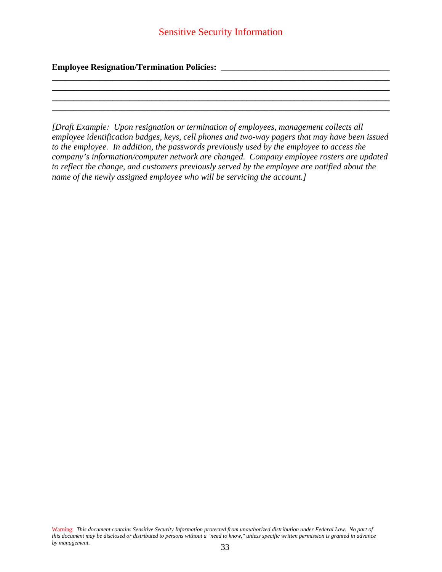**\_\_\_\_\_\_\_\_\_\_\_\_\_\_\_\_\_\_\_\_\_\_\_\_\_\_\_\_\_\_\_\_\_\_\_\_\_\_\_\_\_\_\_\_\_\_\_\_\_\_\_\_\_\_\_\_\_\_\_\_\_\_\_\_\_\_\_\_\_\_\_\_\_\_\_\_\_\_ \_\_\_\_\_\_\_\_\_\_\_\_\_\_\_\_\_\_\_\_\_\_\_\_\_\_\_\_\_\_\_\_\_\_\_\_\_\_\_\_\_\_\_\_\_\_\_\_\_\_\_\_\_\_\_\_\_\_\_\_\_\_\_\_\_\_\_\_\_\_\_\_\_\_\_\_\_\_ \_\_\_\_\_\_\_\_\_\_\_\_\_\_\_\_\_\_\_\_\_\_\_\_\_\_\_\_\_\_\_\_\_\_\_\_\_\_\_\_\_\_\_\_\_\_\_\_\_\_\_\_\_\_\_\_\_\_\_\_\_\_\_\_\_\_\_\_\_\_\_\_\_\_\_\_\_\_ \_\_\_\_\_\_\_\_\_\_\_\_\_\_\_\_\_\_\_\_\_\_\_\_\_\_\_\_\_\_\_\_\_\_\_\_\_\_\_\_\_\_\_\_\_\_\_\_\_\_\_\_\_\_\_\_\_\_\_\_\_\_\_\_\_\_\_\_\_\_\_\_\_\_\_\_\_\_** 

### **Employee Resignation/Termination Policies:** \_\_\_\_\_\_\_\_\_\_\_\_\_\_\_\_\_\_\_\_\_\_\_\_\_\_\_\_\_\_\_\_\_\_\_\_\_\_\_

*[Draft Example: Upon resignation or termination of employees, management collects all employee identification badges, keys, cell phones and two-way pagers that may have been issued to the employee. In addition, the passwords previously used by the employee to access the company's information/computer network are changed. Company employee rosters are updated to reflect the change, and customers previously served by the employee are notified about the name of the newly assigned employee who will be servicing the account.]*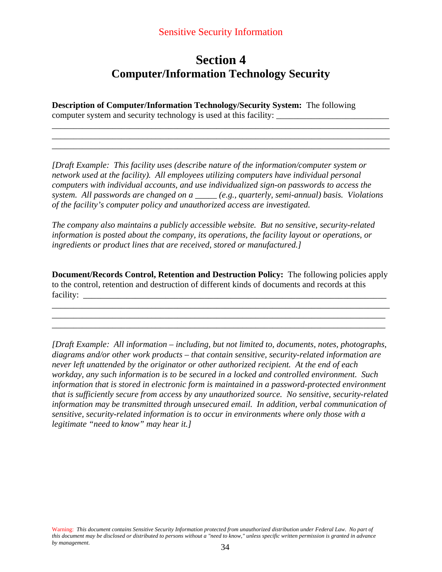### Sensitive Security Information

# **Section 4 Computer/Information Technology Security**

\_\_\_\_\_\_\_\_\_\_\_\_\_\_\_\_\_\_\_\_\_\_\_\_\_\_\_\_\_\_\_\_\_\_\_\_\_\_\_\_\_\_\_\_\_\_\_\_\_\_\_\_\_\_\_\_\_\_\_\_\_\_\_\_\_\_\_\_\_\_\_\_\_\_\_\_\_\_ \_\_\_\_\_\_\_\_\_\_\_\_\_\_\_\_\_\_\_\_\_\_\_\_\_\_\_\_\_\_\_\_\_\_\_\_\_\_\_\_\_\_\_\_\_\_\_\_\_\_\_\_\_\_\_\_\_\_\_\_\_\_\_\_\_\_\_\_\_\_\_\_\_\_\_\_\_\_ \_\_\_\_\_\_\_\_\_\_\_\_\_\_\_\_\_\_\_\_\_\_\_\_\_\_\_\_\_\_\_\_\_\_\_\_\_\_\_\_\_\_\_\_\_\_\_\_\_\_\_\_\_\_\_\_\_\_\_\_\_\_\_\_\_\_\_\_\_\_\_\_\_\_\_\_\_\_

**Description of Computer/Information Technology/Security System:** The following computer system and security technology is used at this facility: \_\_\_\_\_\_\_\_\_\_\_\_\_\_\_\_\_\_\_\_\_\_\_\_\_\_

*[Draft Example: This facility uses (describe nature of the information/computer system or network used at the facility). All employees utilizing computers have individual personal computers with individual accounts, and use individualized sign-on passwords to access the system. All passwords are changed on a \_\_\_\_\_ (e.g., quarterly, semi-annual) basis. Violations of the facility's computer policy and unauthorized access are investigated.* 

*The company also maintains a publicly accessible website. But no sensitive, security-related information is posted about the company, its operations, the facility layout or operations, or ingredients or product lines that are received, stored or manufactured.]*

**Document/Records Control, Retention and Destruction Policy:** The following policies apply to the control, retention and destruction of different kinds of documents and records at this facility:

\_\_\_\_\_\_\_\_\_\_\_\_\_\_\_\_\_\_\_\_\_\_\_\_\_\_\_\_\_\_\_\_\_\_\_\_\_\_\_\_\_\_\_\_\_\_\_\_\_\_\_\_\_\_\_\_\_\_\_\_\_\_\_\_\_\_\_\_\_\_\_\_\_\_\_\_\_\_ \_\_\_\_\_\_\_\_\_\_\_\_\_\_\_\_\_\_\_\_\_\_\_\_\_\_\_\_\_\_\_\_\_\_\_\_\_\_\_\_\_\_\_\_\_\_\_\_\_\_\_\_\_\_\_\_\_\_\_\_\_\_\_\_\_\_\_\_\_\_\_\_\_\_\_\_\_ \_\_\_\_\_\_\_\_\_\_\_\_\_\_\_\_\_\_\_\_\_\_\_\_\_\_\_\_\_\_\_\_\_\_\_\_\_\_\_\_\_\_\_\_\_\_\_\_\_\_\_\_\_\_\_\_\_\_\_\_\_\_\_\_\_\_\_\_\_\_\_\_\_\_\_\_\_

*[Draft Example: All information – including, but not limited to, documents, notes, photographs, diagrams and/or other work products – that contain sensitive, security-related information are never left unattended by the originator or other authorized recipient. At the end of each workday, any such information is to be secured in a locked and controlled environment. Such information that is stored in electronic form is maintained in a password-protected environment that is sufficiently secure from access by any unauthorized source. No sensitive, security-related information may be transmitted through unsecured email. In addition, verbal communication of sensitive, security-related information is to occur in environments where only those with a legitimate "need to know" may hear it.]*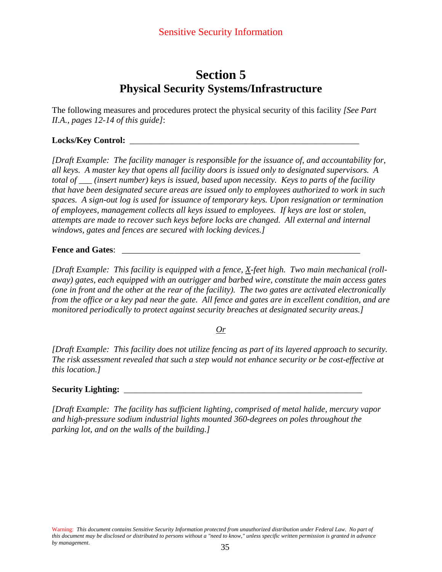# **Section 5 Physical Security Systems/Infrastructure**

The following measures and procedures protect the physical security of this facility *[See Part II.A., pages 12-14 of this guide]*:

### Locks/Key Control:

*[Draft Example: The facility manager is responsible for the issuance of, and accountability for, all keys. A master key that opens all facility doors is issued only to designated supervisors. A total of \_\_\_ (insert number) keys is issued, based upon necessity. Keys to parts of the facility that have been designated secure areas are issued only to employees authorized to work in such spaces. A sign-out log is used for issuance of temporary keys. Upon resignation or termination of employees, management collects all keys issued to employees. If keys are lost or stolen, attempts are made to recover such keys before locks are changed. All external and internal windows, gates and fences are secured with locking devices.]* 

#### **Fence and Gates**: \_\_\_\_\_\_\_\_\_\_\_\_\_\_\_\_\_\_\_\_\_\_\_\_\_\_\_\_\_\_\_\_\_\_\_\_\_\_\_\_\_\_\_\_\_\_\_\_\_\_\_\_\_\_\_

*[Draft Example: This facility is equipped with a fence, X-feet high. Two main mechanical (rollaway) gates, each equipped with an outrigger and barbed wire, constitute the main access gates (one in front and the other at the rear of the facility). The two gates are activated electronically from the office or a key pad near the gate. All fence and gates are in excellent condition, and are monitored periodically to protect against security breaches at designated security areas.]*

#### *Or*

*[Draft Example: This facility does not utilize fencing as part of its layered approach to security. The risk assessment revealed that such a step would not enhance security or be cost-effective at this location.]*

## **Security Lighting:** \_\_\_\_\_\_\_\_\_\_\_\_\_\_\_\_\_\_\_\_\_\_\_\_\_\_\_\_\_\_\_\_\_\_\_\_\_\_\_\_\_\_\_\_\_\_\_\_\_\_\_\_\_\_\_

*[Draft Example: The facility has sufficient lighting, comprised of metal halide, mercury vapor and high-pressure sodium industrial lights mounted 360-degrees on poles throughout the parking lot, and on the walls of the building.]*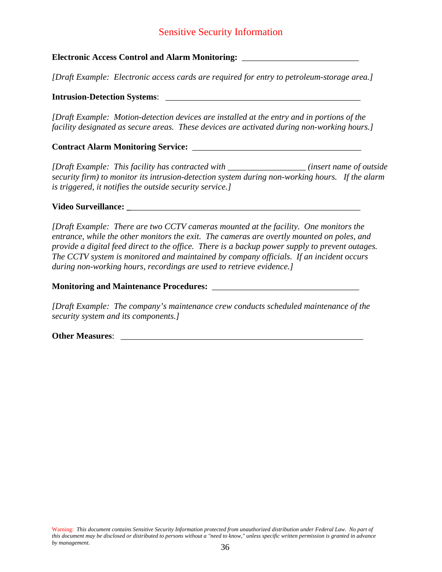# Sensitive Security Information

### **Electronic Access Control and Alarm Monitoring:** \_\_\_\_\_\_\_\_\_\_\_\_\_\_\_\_\_\_\_\_\_\_\_\_\_\_\_

*[Draft Example: Electronic access cards are required for entry to petroleum-storage area.]* 

#### **Intrusion-Detection Systems**: \_\_\_\_\_\_\_\_\_\_\_\_\_\_\_\_\_\_\_\_\_\_\_\_\_\_\_\_\_\_\_\_\_\_\_\_\_\_\_\_\_\_\_\_\_

*[Draft Example: Motion-detection devices are installed at the entry and in portions of the facility designated as secure areas. These devices are activated during non-working hours.]*

**Contract Alarm Monitoring Service:** \_\_\_\_\_\_\_\_\_\_\_\_\_\_\_\_\_\_\_\_\_\_\_\_\_\_\_\_\_\_\_\_\_\_\_\_\_\_\_

*[Draft Example: This facility has contracted with \_\_\_\_\_\_\_\_\_\_\_\_\_\_\_\_\_\_ (insert name of outside security firm) to monitor its intrusion-detection system during non-working hours. If the alarm is triggered, it notifies the outside security service.]* 

#### **Video Surveillance: \_**\_\_\_\_\_\_\_\_\_\_\_\_\_\_\_\_\_\_\_\_\_\_\_\_\_\_\_\_\_\_\_\_\_\_\_\_\_\_\_\_\_\_\_\_\_\_\_\_\_\_\_\_\_

*[Draft Example: There are two CCTV cameras mounted at the facility. One monitors the entrance, while the other monitors the exit. The cameras are overtly mounted on poles, and provide a digital feed direct to the office. There is a backup power supply to prevent outages. The CCTV system is monitored and maintained by company officials. If an incident occurs during non-working hours, recordings are used to retrieve evidence.]*

**Monitoring and Maintenance Procedures:** \_\_\_\_\_\_\_\_\_\_\_\_\_\_\_\_\_\_\_\_\_\_\_\_\_\_\_\_\_\_\_\_\_\_

*[Draft Example: The company's maintenance crew conducts scheduled maintenance of the security system and its components.]*

**Other Measures**: \_\_\_\_\_\_\_\_\_\_\_\_\_\_\_\_\_\_\_\_\_\_\_\_\_\_\_\_\_\_\_\_\_\_\_\_\_\_\_\_\_\_\_\_\_\_\_\_\_\_\_\_\_\_\_\_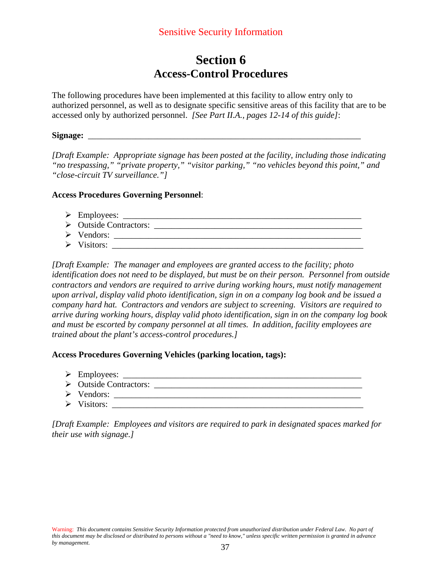# **Section 6 Access-Control Procedures**

The following procedures have been implemented at this facility to allow entry only to authorized personnel, as well as to designate specific sensitive areas of this facility that are to be accessed only by authorized personnel. *[See Part II.A., pages 12-14 of this guide]*:

#### **Signage:** \_\_\_\_\_\_\_\_\_\_\_\_\_\_\_\_\_\_\_\_\_\_\_\_\_\_\_\_\_\_\_\_\_\_\_\_\_\_\_\_\_\_\_\_\_\_\_\_\_\_\_\_\_\_\_\_\_\_\_\_\_\_\_

*[Draft Example: Appropriate signage has been posted at the facility, including those indicating "no trespassing," "private property," "visitor parking," "no vehicles beyond this point," and "close-circuit TV surveillance."]*

#### **Access Procedures Governing Personnel**:

- ¾ Employees: \_\_\_\_\_\_\_\_\_\_\_\_\_\_\_\_\_\_\_\_\_\_\_\_\_\_\_\_\_\_\_\_\_\_\_\_\_\_\_\_\_\_\_\_\_\_\_\_\_\_\_\_\_\_\_
- ¾ Outside Contractors: \_\_\_\_\_\_\_\_\_\_\_\_\_\_\_\_\_\_\_\_\_\_\_\_\_\_\_\_\_\_\_\_\_\_\_\_\_\_\_\_\_\_\_\_\_\_\_\_
- ¾ Vendors: \_\_\_\_\_\_\_\_\_\_\_\_\_\_\_\_\_\_\_\_\_\_\_\_\_\_\_\_\_\_\_\_\_\_\_\_\_\_\_\_\_\_\_\_\_\_\_\_\_\_\_\_\_\_\_\_\_
- ¾ Visitors: \_\_\_\_\_\_\_\_\_\_\_\_\_\_\_\_\_\_\_\_\_\_\_\_\_\_\_\_\_\_\_\_\_\_\_\_\_\_\_\_\_\_\_\_\_\_\_\_\_\_\_\_\_\_\_\_\_\_

*[Draft Example: The manager and employees are granted access to the facility; photo identification does not need to be displayed, but must be on their person. Personnel from outside contractors and vendors are required to arrive during working hours, must notify management upon arrival, display valid photo identification, sign in on a company log book and be issued a company hard hat. Contractors and vendors are subject to screening. Visitors are required to arrive during working hours, display valid photo identification, sign in on the company log book and must be escorted by company personnel at all times. In addition, facility employees are trained about the plant's access-control procedures.]* 

#### **Access Procedures Governing Vehicles (parking location, tags):**

- $\triangleright$  Employees:
- ¾ Outside Contractors: \_\_\_\_\_\_\_\_\_\_\_\_\_\_\_\_\_\_\_\_\_\_\_\_\_\_\_\_\_\_\_\_\_\_\_\_\_\_\_\_\_\_\_\_\_\_\_\_
- ¾ Vendors: \_\_\_\_\_\_\_\_\_\_\_\_\_\_\_\_\_\_\_\_\_\_\_\_\_\_\_\_\_\_\_\_\_\_\_\_\_\_\_\_\_\_\_\_\_\_\_\_\_\_\_\_\_\_\_\_\_
- ¾ Visitors: \_\_\_\_\_\_\_\_\_\_\_\_\_\_\_\_\_\_\_\_\_\_\_\_\_\_\_\_\_\_\_\_\_\_\_\_\_\_\_\_\_\_\_\_\_\_\_\_\_\_\_\_\_\_\_\_\_\_

*[Draft Example: Employees and visitors are required to park in designated spaces marked for their use with signage.]*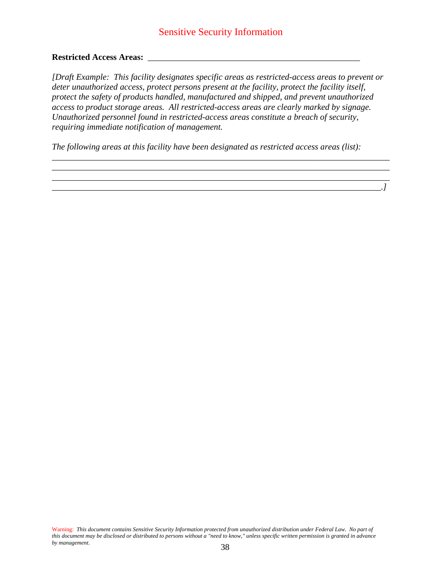# Sensitive Security Information

### **Restricted Access Areas:** \_\_\_\_\_\_\_\_\_\_\_\_\_\_\_\_\_\_\_\_\_\_\_\_\_\_\_\_\_\_\_\_\_\_\_\_\_\_\_\_\_\_\_\_\_\_\_\_\_

*[Draft Example: This facility designates specific areas as restricted-access areas to prevent or deter unauthorized access, protect persons present at the facility, protect the facility itself, protect the safety of products handled, manufactured and shipped, and prevent unauthorized access to product storage areas. All restricted-access areas are clearly marked by signage. Unauthorized personnel found in restricted-access areas constitute a breach of security, requiring immediate notification of management.* 

*\_\_\_\_\_\_\_\_\_\_\_\_\_\_\_\_\_\_\_\_\_\_\_\_\_\_\_\_\_\_\_\_\_\_\_\_\_\_\_\_\_\_\_\_\_\_\_\_\_\_\_\_\_\_\_\_\_\_\_\_\_\_\_\_\_\_\_\_\_\_\_\_\_\_\_\_\_\_ \_\_\_\_\_\_\_\_\_\_\_\_\_\_\_\_\_\_\_\_\_\_\_\_\_\_\_\_\_\_\_\_\_\_\_\_\_\_\_\_\_\_\_\_\_\_\_\_\_\_\_\_\_\_\_\_\_\_\_\_\_\_\_\_\_\_\_\_\_\_\_\_\_\_\_\_\_\_ \_\_\_\_\_\_\_\_\_\_\_\_\_\_\_\_\_\_\_\_\_\_\_\_\_\_\_\_\_\_\_\_\_\_\_\_\_\_\_\_\_\_\_\_\_\_\_\_\_\_\_\_\_\_\_\_\_\_\_\_\_\_\_\_\_\_\_\_\_\_\_\_\_\_\_\_\_\_*

*\_\_\_\_\_\_\_\_\_\_\_\_\_\_\_\_\_\_\_\_\_\_\_\_\_\_\_\_\_\_\_\_\_\_\_\_\_\_\_\_\_\_\_\_\_\_\_\_\_\_\_\_\_\_\_\_\_\_\_\_\_\_\_\_\_\_\_\_\_\_\_\_\_\_\_\_.]*

*The following areas at this facility have been designated as restricted access areas (list):*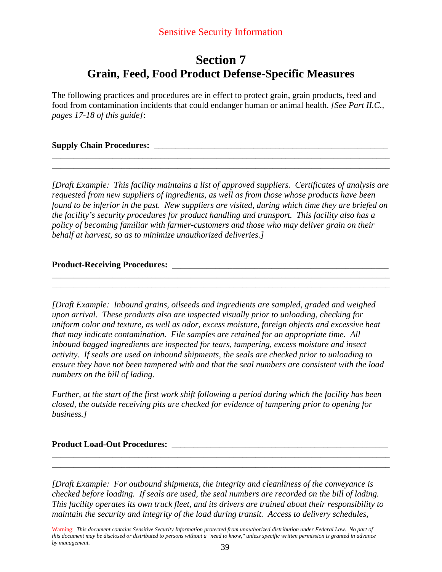# **Section 7 Grain, Feed, Food Product Defense-Specific Measures**

The following practices and procedures are in effect to protect grain, grain products, feed and food from contamination incidents that could endanger human or animal health. *[See Part II.C., pages 17-18 of this guide]*:

### **Supply Chain Procedures:** \_\_\_\_\_\_\_\_\_\_\_\_\_\_\_\_\_\_\_\_\_\_\_\_\_\_\_\_\_\_\_\_\_\_\_\_\_\_\_\_\_\_\_\_\_\_\_\_\_\_\_\_\_\_

*[Draft Example: This facility maintains a list of approved suppliers. Certificates of analysis are requested from new suppliers of ingredients, as well as from those whose products have been found to be inferior in the past. New suppliers are visited, during which time they are briefed on the facility's security procedures for product handling and transport. This facility also has a policy of becoming familiar with farmer-customers and those who may deliver grain on their behalf at harvest, so as to minimize unauthorized deliveries.]*

\_\_\_\_\_\_\_\_\_\_\_\_\_\_\_\_\_\_\_\_\_\_\_\_\_\_\_\_\_\_\_\_\_\_\_\_\_\_\_\_\_\_\_\_\_\_\_\_\_\_\_\_\_\_\_\_\_\_\_\_\_\_\_\_\_\_\_\_\_\_\_\_\_\_\_\_\_\_ \_\_\_\_\_\_\_\_\_\_\_\_\_\_\_\_\_\_\_\_\_\_\_\_\_\_\_\_\_\_\_\_\_\_\_\_\_\_\_\_\_\_\_\_\_\_\_\_\_\_\_\_\_\_\_\_\_\_\_\_\_\_\_\_\_\_\_\_\_\_\_\_\_\_\_\_\_\_

\_\_\_\_\_\_\_\_\_\_\_\_\_\_\_\_\_\_\_\_\_\_\_\_\_\_\_\_\_\_\_\_\_\_\_\_\_\_\_\_\_\_\_\_\_\_\_\_\_\_\_\_\_\_\_\_\_\_\_\_\_\_\_\_\_\_\_\_\_\_\_\_\_\_\_\_\_\_ \_\_\_\_\_\_\_\_\_\_\_\_\_\_\_\_\_\_\_\_\_\_\_\_\_\_\_\_\_\_\_\_\_\_\_\_\_\_\_\_\_\_\_\_\_\_\_\_\_\_\_\_\_\_\_\_\_\_\_\_\_\_\_\_\_\_\_\_\_\_\_\_\_\_\_\_\_\_

### **Product-Receiving Procedures: \_\_\_\_\_\_\_\_\_\_\_\_\_\_\_\_\_\_\_\_\_\_\_\_\_\_\_\_\_\_\_\_\_\_\_\_\_\_\_\_\_\_\_\_\_\_\_\_\_\_**

*[Draft Example: Inbound grains, oilseeds and ingredients are sampled, graded and weighed upon arrival. These products also are inspected visually prior to unloading, checking for uniform color and texture, as well as odor, excess moisture, foreign objects and excessive heat that may indicate contamination. File samples are retained for an appropriate time. All inbound bagged ingredients are inspected for tears, tampering, excess moisture and insect activity. If seals are used on inbound shipments, the seals are checked prior to unloading to ensure they have not been tampered with and that the seal numbers are consistent with the load numbers on the bill of lading.* 

*Further, at the start of the first work shift following a period during which the facility has been closed, the outside receiving pits are checked for evidence of tampering prior to opening for business.]*

### **Product Load-Out Procedures:** \_\_\_\_\_\_\_\_\_\_\_\_\_\_\_\_\_\_\_\_\_\_\_\_\_\_\_\_\_\_\_\_\_\_\_\_\_\_\_\_\_\_\_\_\_\_\_\_\_\_

*[Draft Example: For outbound shipments, the integrity and cleanliness of the conveyance is checked before loading. If seals are used, the seal numbers are recorded on the bill of lading. This facility operates its own truck fleet, and its drivers are trained about their responsibility to maintain the security and integrity of the load during transit. Access to delivery schedules,* 

\_\_\_\_\_\_\_\_\_\_\_\_\_\_\_\_\_\_\_\_\_\_\_\_\_\_\_\_\_\_\_\_\_\_\_\_\_\_\_\_\_\_\_\_\_\_\_\_\_\_\_\_\_\_\_\_\_\_\_\_\_\_\_\_\_\_\_\_\_\_\_\_\_\_\_\_\_\_ \_\_\_\_\_\_\_\_\_\_\_\_\_\_\_\_\_\_\_\_\_\_\_\_\_\_\_\_\_\_\_\_\_\_\_\_\_\_\_\_\_\_\_\_\_\_\_\_\_\_\_\_\_\_\_\_\_\_\_\_\_\_\_\_\_\_\_\_\_\_\_\_\_\_\_\_\_\_

Warning: *This document contains Sensitive Security Information protected from unauthorized distribution under Federal Law. No part of this document may be disclosed or distributed to persons without a "need to know," unless specific written permission is granted in advance by management*. 39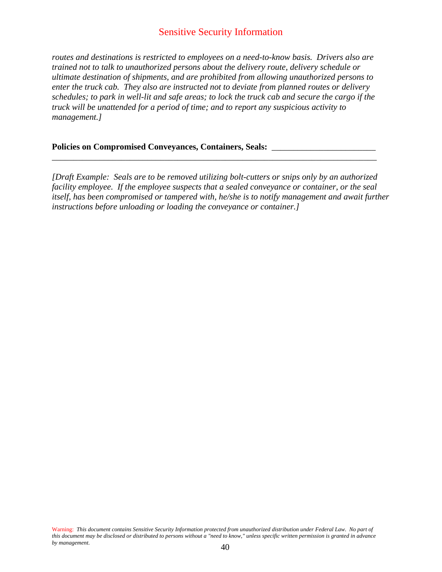## Sensitive Security Information

*routes and destinations is restricted to employees on a need-to-know basis. Drivers also are trained not to talk to unauthorized persons about the delivery route, delivery schedule or ultimate destination of shipments, and are prohibited from allowing unauthorized persons to enter the truck cab. They also are instructed not to deviate from planned routes or delivery schedules; to park in well-lit and safe areas; to lock the truck cab and secure the cargo if the truck will be unattended for a period of time; and to report any suspicious activity to management.]*

#### **Policies on Compromised Conveyances, Containers, Seals:** \_\_\_\_\_\_\_\_\_\_\_\_\_\_\_\_\_\_\_\_\_\_\_\_

*[Draft Example: Seals are to be removed utilizing bolt-cutters or snips only by an authorized facility employee. If the employee suspects that a sealed conveyance or container, or the seal itself, has been compromised or tampered with, he/she is to notify management and await further instructions before unloading or loading the conveyance or container.]* 

\_\_\_\_\_\_\_\_\_\_\_\_\_\_\_\_\_\_\_\_\_\_\_\_\_\_\_\_\_\_\_\_\_\_\_\_\_\_\_\_\_\_\_\_\_\_\_\_\_\_\_\_\_\_\_\_\_\_\_\_\_\_\_\_\_\_\_\_\_\_\_\_\_\_\_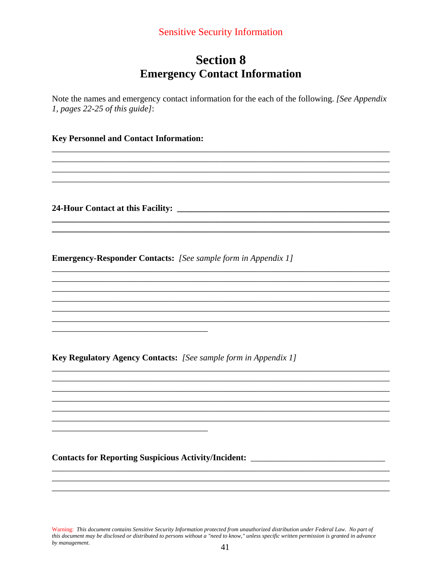# **Section 8 Emergency Contact Information**

Note the names and emergency contact information for the each of the following. *[See Appendix*] 1, pages  $22-25$  of this guide]:

<u> 1989 - Johann Barn, mars ann an t-Amhainn an t-Amhainn an t-Amhainn an t-Amhainn an t-Amhainn an t-Amhainn an </u>

#### **Key Personnel and Contact Information:**

**Emergency-Responder Contacts:** [See sample form in Appendix 1]

**Key Regulatory Agency Contacts:** [See sample form in Appendix 1]

Contacts for Reporting Suspicious Activity/Incident: \_\_\_\_\_\_\_\_\_\_\_\_\_\_\_\_\_\_\_\_\_\_\_\_\_\_\_

Warning: This document contains Sensitive Security Information protected from unauthorized distribution under Federal Law. No part of this document may be disclosed or distributed to persons without a "need to know," unless specific written permission is granted in advance by management.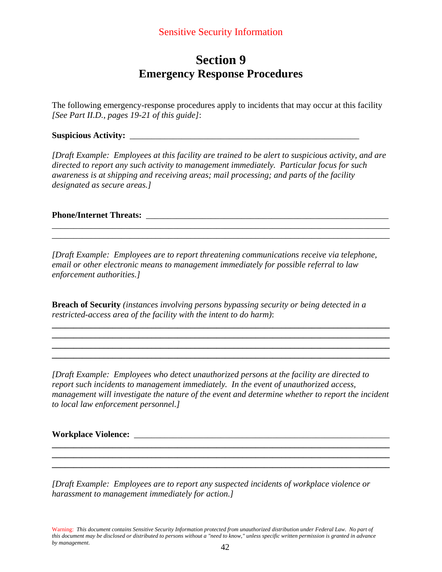# **Section 9 Emergency Response Procedures**

The following emergency-response procedures apply to incidents that may occur at this facility *[See Part II.D., pages 19-21 of this guide]*:

**Suspicious Activity:** \_\_\_\_\_\_\_\_\_\_\_\_\_\_\_\_\_\_\_\_\_\_\_\_\_\_\_\_\_\_\_\_\_\_\_\_\_\_\_\_\_\_\_\_\_\_\_\_\_\_\_\_\_

*[Draft Example: Employees at this facility are trained to be alert to suspicious activity, and are directed to report any such activity to management immediately. Particular focus for such awareness is at shipping and receiving areas; mail processing; and parts of the facility designated as secure areas.]* 

\_\_\_\_\_\_\_\_\_\_\_\_\_\_\_\_\_\_\_\_\_\_\_\_\_\_\_\_\_\_\_\_\_\_\_\_\_\_\_\_\_\_\_\_\_\_\_\_\_\_\_\_\_\_\_\_\_\_\_\_\_\_\_\_\_\_\_\_\_\_\_\_\_\_\_\_\_\_ \_\_\_\_\_\_\_\_\_\_\_\_\_\_\_\_\_\_\_\_\_\_\_\_\_\_\_\_\_\_\_\_\_\_\_\_\_\_\_\_\_\_\_\_\_\_\_\_\_\_\_\_\_\_\_\_\_\_\_\_\_\_\_\_\_\_\_\_\_\_\_\_\_\_\_\_\_\_

**Phone/Internet Threats:**  $\blacksquare$ 

*[Draft Example: Employees are to report threatening communications receive via telephone, email or other electronic means to management immediately for possible referral to law enforcement authorities.]* 

**Breach of Security** *(instances involving persons bypassing security or being detected in a restricted-access area of the facility with the intent to do harm)*:

*[Draft Example: Employees who detect unauthorized persons at the facility are directed to report such incidents to management immediately. In the event of unauthorized access, management will investigate the nature of the event and determine whether to report the incident to local law enforcement personnel.]* 

**\_\_\_\_\_\_\_\_\_\_\_\_\_\_\_\_\_\_\_\_\_\_\_\_\_\_\_\_\_\_\_\_\_\_\_\_\_\_\_\_\_\_\_\_\_\_\_\_\_\_\_\_\_\_\_\_\_\_\_\_\_\_\_\_\_\_\_\_\_\_\_\_\_\_\_\_\_\_ \_\_\_\_\_\_\_\_\_\_\_\_\_\_\_\_\_\_\_\_\_\_\_\_\_\_\_\_\_\_\_\_\_\_\_\_\_\_\_\_\_\_\_\_\_\_\_\_\_\_\_\_\_\_\_\_\_\_\_\_\_\_\_\_\_\_\_\_\_\_\_\_\_\_\_\_\_\_**

**\_\_\_\_\_\_\_\_\_\_\_\_\_\_\_\_\_\_\_\_\_\_\_\_\_\_\_\_\_\_\_\_\_\_\_\_\_\_\_\_\_\_\_\_\_\_\_\_\_\_\_\_\_\_\_\_\_\_\_\_\_\_\_\_\_\_\_\_\_\_\_\_\_\_\_\_\_\_ \_\_\_\_\_\_\_\_\_\_\_\_\_\_\_\_\_\_\_\_\_\_\_\_\_\_\_\_\_\_\_\_\_\_\_\_\_\_\_\_\_\_\_\_\_\_\_\_\_\_\_\_\_\_\_\_\_\_\_\_\_\_\_\_\_\_\_\_\_\_\_\_\_\_\_\_\_\_ \_\_\_\_\_\_\_\_\_\_\_\_\_\_\_\_\_\_\_\_\_\_\_\_\_\_\_\_\_\_\_\_\_\_\_\_\_\_\_\_\_\_\_\_\_\_\_\_\_\_\_\_\_\_\_\_\_\_\_\_\_\_\_\_\_\_\_\_\_\_\_\_\_\_\_\_\_\_ \_\_\_\_\_\_\_\_\_\_\_\_\_\_\_\_\_\_\_\_\_\_\_\_\_\_\_\_\_\_\_\_\_\_\_\_\_\_\_\_\_\_\_\_\_\_\_\_\_\_\_\_\_\_\_\_\_\_\_\_\_\_\_\_\_\_\_\_\_\_\_\_\_\_\_\_\_\_** 

**Workplace Violence:** \_\_\_\_\_\_\_\_\_\_\_\_\_\_\_\_\_\_\_\_\_\_\_\_\_\_\_\_\_\_\_\_\_\_\_\_\_\_\_\_\_\_\_\_\_\_\_\_\_\_\_\_\_\_\_\_\_\_\_

*[Draft Example: Employees are to report any suspected incidents of workplace violence or harassment to management immediately for action.]*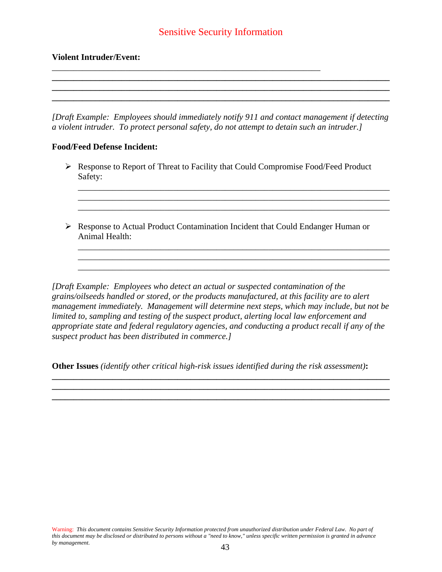## Sensitive Security Information

\_\_\_\_\_\_\_\_\_\_\_\_\_\_\_\_\_\_\_\_\_\_\_\_\_\_\_\_\_\_\_\_\_\_\_\_\_\_\_\_\_\_\_\_\_\_\_\_\_\_\_\_\_\_\_\_\_\_\_\_\_\_

#### **Violent Intruder/Event:**

*[Draft Example: Employees should immediately notify 911 and contact management if detecting a violent intruder. To protect personal safety, do not attempt to detain such an intruder.]* 

**\_\_\_\_\_\_\_\_\_\_\_\_\_\_\_\_\_\_\_\_\_\_\_\_\_\_\_\_\_\_\_\_\_\_\_\_\_\_\_\_\_\_\_\_\_\_\_\_\_\_\_\_\_\_\_\_\_\_\_\_\_\_\_\_\_\_\_\_\_\_\_\_\_\_\_\_\_\_**

**\_\_\_\_\_\_\_\_\_\_\_\_\_\_\_\_\_\_\_\_\_\_\_\_\_\_\_\_\_\_\_\_\_\_\_\_\_\_\_\_\_\_\_\_\_\_\_\_\_\_\_\_\_\_\_\_\_\_\_\_\_\_\_\_\_\_\_\_\_\_\_\_\_\_\_\_\_\_** 

#### **Food/Feed Defense Incident:**

¾ Response to Report of Threat to Facility that Could Compromise Food/Feed Product Safety:

\_\_\_\_\_\_\_\_\_\_\_\_\_\_\_\_\_\_\_\_\_\_\_\_\_\_\_\_\_\_\_\_\_\_\_\_\_\_\_\_\_\_\_\_\_\_\_\_\_\_\_\_\_\_\_\_\_\_\_\_\_\_\_\_\_\_\_\_\_\_\_\_ \_\_\_\_\_\_\_\_\_\_\_\_\_\_\_\_\_\_\_\_\_\_\_\_\_\_\_\_\_\_\_\_\_\_\_\_\_\_\_\_\_\_\_\_\_\_\_\_\_\_\_\_\_\_\_\_\_\_\_\_\_\_\_\_\_\_\_\_\_\_\_\_ \_\_\_\_\_\_\_\_\_\_\_\_\_\_\_\_\_\_\_\_\_\_\_\_\_\_\_\_\_\_\_\_\_\_\_\_\_\_\_\_\_\_\_\_\_\_\_\_\_\_\_\_\_\_\_\_\_\_\_\_\_\_\_\_\_\_\_\_\_\_\_\_

\_\_\_\_\_\_\_\_\_\_\_\_\_\_\_\_\_\_\_\_\_\_\_\_\_\_\_\_\_\_\_\_\_\_\_\_\_\_\_\_\_\_\_\_\_\_\_\_\_\_\_\_\_\_\_\_\_\_\_\_\_\_\_\_\_\_\_\_\_\_\_\_ \_\_\_\_\_\_\_\_\_\_\_\_\_\_\_\_\_\_\_\_\_\_\_\_\_\_\_\_\_\_\_\_\_\_\_\_\_\_\_\_\_\_\_\_\_\_\_\_\_\_\_\_\_\_\_\_\_\_\_\_\_\_\_\_\_\_\_\_\_\_\_\_

 $\triangleright$  Response to Actual Product Contamination Incident that Could Endanger Human or Animal Health:

*[Draft Example: Employees who detect an actual or suspected contamination of the grains/oilseeds handled or stored, or the products manufactured, at this facility are to alert management immediately. Management will determine next steps, which may include, but not be limited to, sampling and testing of the suspect product, alerting local law enforcement and appropriate state and federal regulatory agencies, and conducting a product recall if any of the suspect product has been distributed in commerce.]* 

**Other Issues** *(identify other critical high-risk issues identified during the risk assessment)***:** 

**\_\_\_\_\_\_\_\_\_\_\_\_\_\_\_\_\_\_\_\_\_\_\_\_\_\_\_\_\_\_\_\_\_\_\_\_\_\_\_\_\_\_\_\_\_\_\_\_\_\_\_\_\_\_\_\_\_\_\_\_\_\_\_\_\_\_\_\_\_\_\_\_\_\_\_\_\_\_ \_\_\_\_\_\_\_\_\_\_\_\_\_\_\_\_\_\_\_\_\_\_\_\_\_\_\_\_\_\_\_\_\_\_\_\_\_\_\_\_\_\_\_\_\_\_\_\_\_\_\_\_\_\_\_\_\_\_\_\_\_\_\_\_\_\_\_\_\_\_\_\_\_\_\_\_\_\_**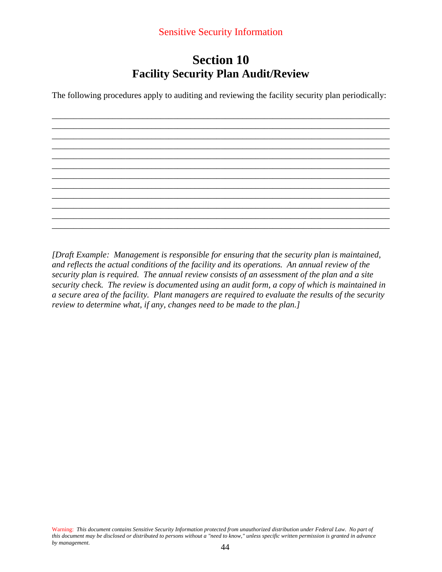# **Section 10 Facility Security Plan Audit/Review**

The following procedures apply to auditing and reviewing the facility security plan periodically:

\_\_\_\_\_\_\_\_\_\_\_\_\_\_\_\_\_\_\_\_\_\_\_\_\_\_\_\_\_\_\_\_\_\_\_\_\_\_\_\_\_\_\_\_\_\_\_\_\_\_\_\_\_\_\_\_\_\_\_\_\_\_\_\_\_\_\_\_\_\_\_\_\_\_\_\_\_\_ \_\_\_\_\_\_\_\_\_\_\_\_\_\_\_\_\_\_\_\_\_\_\_\_\_\_\_\_\_\_\_\_\_\_\_\_\_\_\_\_\_\_\_\_\_\_\_\_\_\_\_\_\_\_\_\_\_\_\_\_\_\_\_\_\_\_\_\_\_\_\_\_\_\_\_\_\_\_ \_\_\_\_\_\_\_\_\_\_\_\_\_\_\_\_\_\_\_\_\_\_\_\_\_\_\_\_\_\_\_\_\_\_\_\_\_\_\_\_\_\_\_\_\_\_\_\_\_\_\_\_\_\_\_\_\_\_\_\_\_\_\_\_\_\_\_\_\_\_\_\_\_\_\_\_\_\_ \_\_\_\_\_\_\_\_\_\_\_\_\_\_\_\_\_\_\_\_\_\_\_\_\_\_\_\_\_\_\_\_\_\_\_\_\_\_\_\_\_\_\_\_\_\_\_\_\_\_\_\_\_\_\_\_\_\_\_\_\_\_\_\_\_\_\_\_\_\_\_\_\_\_\_\_\_\_ \_\_\_\_\_\_\_\_\_\_\_\_\_\_\_\_\_\_\_\_\_\_\_\_\_\_\_\_\_\_\_\_\_\_\_\_\_\_\_\_\_\_\_\_\_\_\_\_\_\_\_\_\_\_\_\_\_\_\_\_\_\_\_\_\_\_\_\_\_\_\_\_\_\_\_\_\_\_ \_\_\_\_\_\_\_\_\_\_\_\_\_\_\_\_\_\_\_\_\_\_\_\_\_\_\_\_\_\_\_\_\_\_\_\_\_\_\_\_\_\_\_\_\_\_\_\_\_\_\_\_\_\_\_\_\_\_\_\_\_\_\_\_\_\_\_\_\_\_\_\_\_\_\_\_\_\_ \_\_\_\_\_\_\_\_\_\_\_\_\_\_\_\_\_\_\_\_\_\_\_\_\_\_\_\_\_\_\_\_\_\_\_\_\_\_\_\_\_\_\_\_\_\_\_\_\_\_\_\_\_\_\_\_\_\_\_\_\_\_\_\_\_\_\_\_\_\_\_\_\_\_\_\_\_\_ \_\_\_\_\_\_\_\_\_\_\_\_\_\_\_\_\_\_\_\_\_\_\_\_\_\_\_\_\_\_\_\_\_\_\_\_\_\_\_\_\_\_\_\_\_\_\_\_\_\_\_\_\_\_\_\_\_\_\_\_\_\_\_\_\_\_\_\_\_\_\_\_\_\_\_\_\_\_ \_\_\_\_\_\_\_\_\_\_\_\_\_\_\_\_\_\_\_\_\_\_\_\_\_\_\_\_\_\_\_\_\_\_\_\_\_\_\_\_\_\_\_\_\_\_\_\_\_\_\_\_\_\_\_\_\_\_\_\_\_\_\_\_\_\_\_\_\_\_\_\_\_\_\_\_\_\_ \_\_\_\_\_\_\_\_\_\_\_\_\_\_\_\_\_\_\_\_\_\_\_\_\_\_\_\_\_\_\_\_\_\_\_\_\_\_\_\_\_\_\_\_\_\_\_\_\_\_\_\_\_\_\_\_\_\_\_\_\_\_\_\_\_\_\_\_\_\_\_\_\_\_\_\_\_\_ \_\_\_\_\_\_\_\_\_\_\_\_\_\_\_\_\_\_\_\_\_\_\_\_\_\_\_\_\_\_\_\_\_\_\_\_\_\_\_\_\_\_\_\_\_\_\_\_\_\_\_\_\_\_\_\_\_\_\_\_\_\_\_\_\_\_\_\_\_\_\_\_\_\_\_\_\_\_ \_\_\_\_\_\_\_\_\_\_\_\_\_\_\_\_\_\_\_\_\_\_\_\_\_\_\_\_\_\_\_\_\_\_\_\_\_\_\_\_\_\_\_\_\_\_\_\_\_\_\_\_\_\_\_\_\_\_\_\_\_\_\_\_\_\_\_\_\_\_\_\_\_\_\_\_\_\_

*[Draft Example: Management is responsible for ensuring that the security plan is maintained, and reflects the actual conditions of the facility and its operations. An annual review of the security plan is required. The annual review consists of an assessment of the plan and a site security check. The review is documented using an audit form, a copy of which is maintained in a secure area of the facility. Plant managers are required to evaluate the results of the security review to determine what, if any, changes need to be made to the plan.]*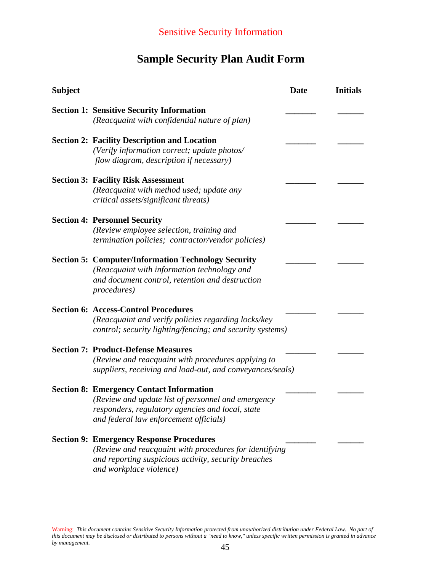# **Sample Security Plan Audit Form**

| <b>Subject</b> |                                                                                                                                                                                                     | <b>Date</b> | <b>Initials</b> |
|----------------|-----------------------------------------------------------------------------------------------------------------------------------------------------------------------------------------------------|-------------|-----------------|
|                | <b>Section 1: Sensitive Security Information</b><br>(Reacquaint with confidential nature of plan)                                                                                                   |             |                 |
|                | <b>Section 2: Facility Description and Location</b><br>(Verify information correct; update photos/<br>flow diagram, description if necessary)                                                       |             |                 |
|                | <b>Section 3: Facility Risk Assessment</b><br>(Reacquaint with method used; update any<br>critical assets/significant threats)                                                                      |             |                 |
|                | <b>Section 4: Personnel Security</b><br>(Review employee selection, training and<br><i>termination policies; contractor/vendor policies)</i>                                                        |             |                 |
|                | <b>Section 5: Computer/Information Technology Security</b><br>(Reacquaint with information technology and<br>and document control, retention and destruction<br><i>procedures</i> )                 |             |                 |
|                | <b>Section 6: Access-Control Procedures</b><br>(Reacquaint and verify policies regarding locks/key<br>control; security lighting/fencing; and security systems)                                     |             |                 |
|                | <b>Section 7: Product-Defense Measures</b><br>(Review and reacquaint with procedures applying to<br>suppliers, receiving and load-out, and conveyances/seals)                                       |             |                 |
|                | <b>Section 8: Emergency Contact Information</b><br>(Review and update list of personnel and emergency<br>responders, regulatory agencies and local, state<br>and federal law enforcement officials) |             |                 |
|                | <b>Section 9: Emergency Response Procedures</b><br>(Review and reacquaint with procedures for identifying<br>and reporting suspicious activity, security breaches<br>and workplace violence)        |             |                 |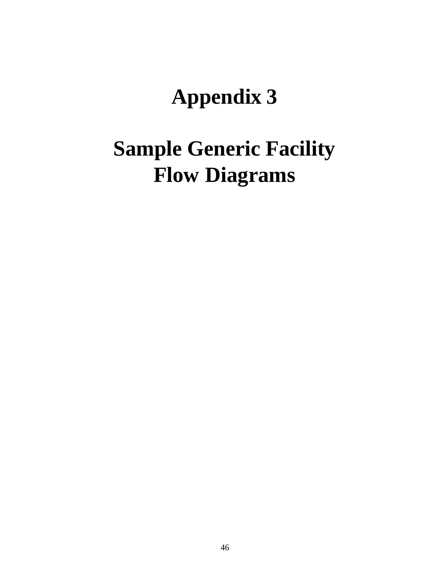# **Appendix 3**

# **Sample Generic Facility Flow Diagrams**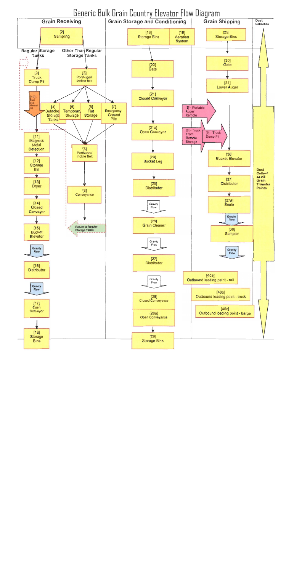Generic Bulk Grain Country Elevator Flow Diagram

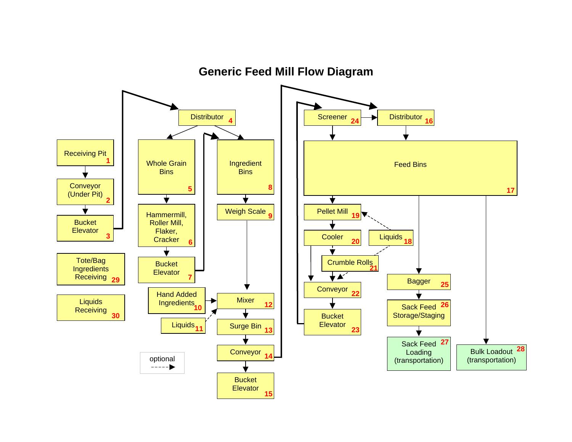

**Generic Feed Mill Flow Diagram**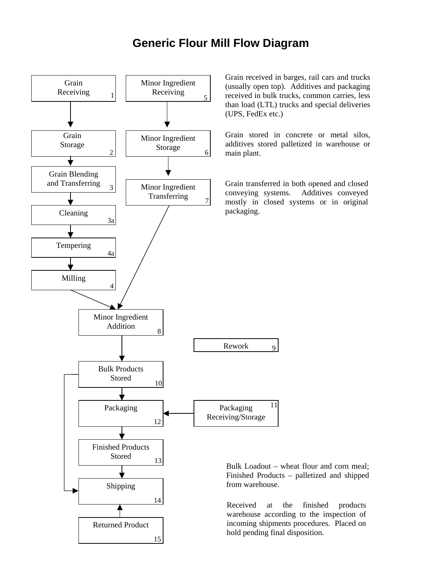

Grain received in barges, rail cars and trucks (usually open top). Additives and packaging received in bulk trucks, common carries, less than load (LTL) trucks and special deliveries

Grain stored in concrete or metal silos, additives stored palletized in warehouse or

Grain transferred in both opened and closed conveying systems. Additives conveyed mostly in closed systems or in original

Bulk Loadout – wheat flour and corn meal; Finished Products – palletized and shipped

Received at the finished products warehouse according to the inspection of incoming shipments procedures. Placed on hold pending final disposition.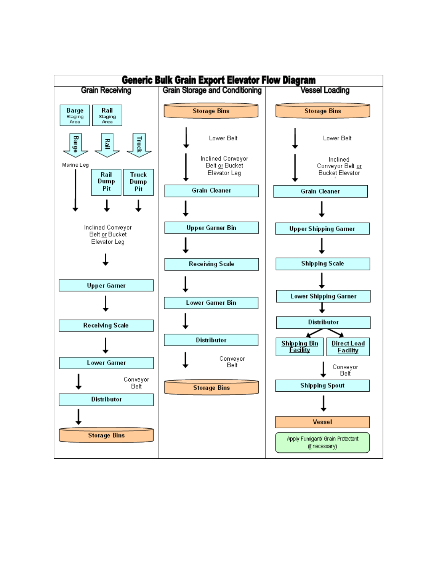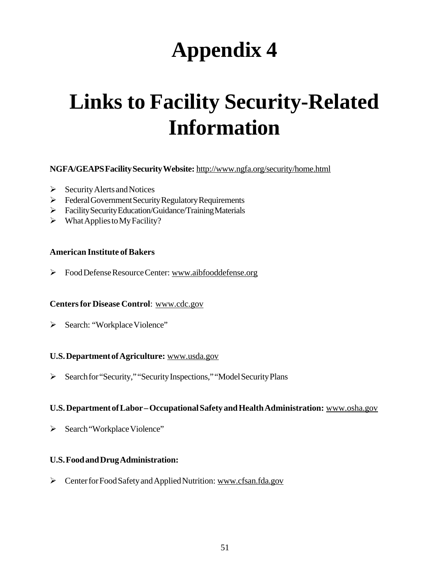# **Appendix 4**

# **Links to Facility Security-Related Information**

### **NGFA/GEAPS Facility Security Website:** http://www.ngfa.org/security/home.html

- $\triangleright$  Security Alerts and Notices
- $\triangleright$  Federal Government Security Regulatory Requirements
- Facility Security Education/Guidance/Training Materials
- $\triangleright$  What Applies to My Facility?

#### **American Institute of Bakers**

Food Defense Resource Center: www.aibfooddefense.org

#### **Centers for Disease Control**: www.cdc.gov

> Search: "Workplace Violence"

#### **U.S. Department of Agriculture:** www.usda.gov

Search for "Security," "Security Inspections," "Model Security Plans

#### **U.S. Department of Labor – Occupational Safety and Health Administration:** www.osha.gov

> Search "Workplace Violence"

#### **U.S. Food and Drug Administration:**

> Center for Food Safety and Applied Nutrition: www.cfsan.fda.gov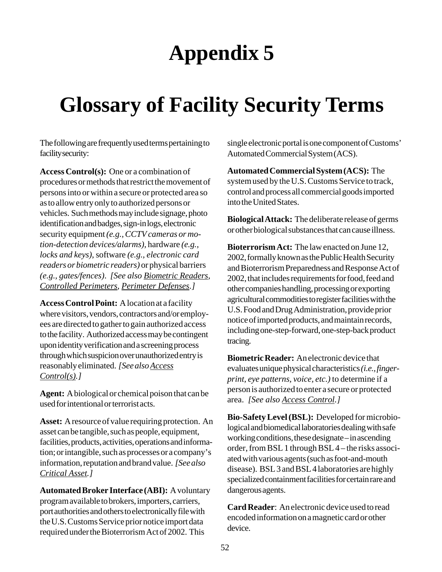# **Appendix 5**

# **Glossary of Facility Security Terms**

The following are frequently used terms pertaining to facility security:

**Access Control(s):** One or a combination of procedures or methods that restrict the movement of persons into or within a secure or protected area so as to allow entry only to authorized persons or vehicles. Such methods may include signage, photo identification and badges, sign-in logs, electronic security equipment *(e.g., CCTV cameras or motion-detection devices/alarms)*, hardware *(e.g., locks and keys)*, software *(e.g., electronic card readers or biometric readers)* or physical barriers *(e.g., gates/fences)*. *[See also Biometric Readers, Controlled Perimeters, Perimeter Defenses.]*

**Access Control Point:** A location at a facility where visitors, vendors, contractors and/or employees are directed to gather to gain authorized access to the facility. Authorized access may be contingent upon identity verification and a screening process through which suspicion over unauthorized entry is reasonably eliminated. *[See also Access Control(s).]*

**Agent:** A biological or chemical poison that can be used for intentional or terrorist acts.

**Asset:** A resource of value requiring protection. An asset can be tangible, such as people, equipment, facilities, products, activities, operations and information; or intangible, such as processes or a company's information, reputation and brand value. *[See also Critical Asset.]*

**Automated Broker Interface (ABI):** A voluntary program available to brokers, importers, carriers, port authorities and others to electronically file with the U.S. Customs Service prior notice import data required under the Bioterrorism Act of 2002. This

single electronic portal is one component of Customs' Automated Commercial System (ACS).

**Automated Commercial System (ACS):** The system used by the U.S. Customs Service to track, control and process all commercial goods imported into the United States.

**Biological Attack:** The deliberate release of germs or other biological substances that can cause illness.

**Bioterrorism Act:** The law enacted on June 12, 2002, formally known as the Public Health Security and Bioterrorism Preparedness and Response Act of 2002, that includes requirements for food, feed and other companies handling, processing or exporting agricultural commodities to register facilities with the U.S. Food and Drug Administration, provide prior notice of imported products, and maintain records, including one-step-forward, one-step-back product tracing.

**Biometric Reader:** An electronic device that evaluates unique physical characteristics *(i.e., fingerprint, eye patterns, voice, etc.)* to determine if a person is authorized to enter a secure or protected area. *[See also Access Control.]*

**Bio-Safety Level (BSL):** Developed for microbiological and biomedical laboratories dealing with safe working conditions, these designate – in ascending order, from BSL 1 through BSL 4 – the risks associated with various agents (such as foot-and-mouth disease). BSL 3 and BSL 4 laboratories are highly specialized containment facilities for certain rare and dangerous agents.

**Card Reader**: An electronic device used to read encoded information on a magnetic card or other device.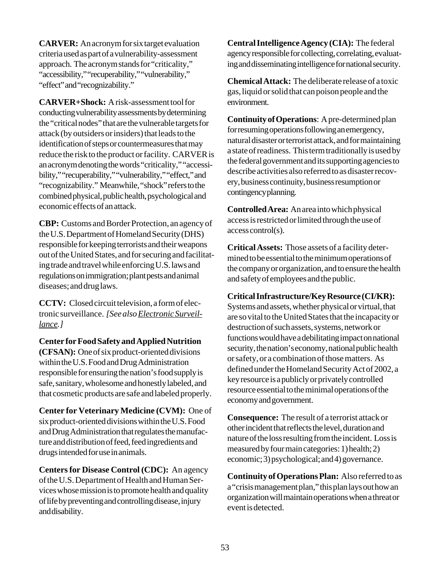**CARVER:** An acronym for six target evaluation criteria used as part of a vulnerability-assessment approach. The acronym stands for "criticality," "accessibility," "recuperability," "vulnerability," "effect" and "recognizability."

**CARVER+Shock:** A risk-assessment tool for conducting vulnerability assessments by determining the "critical nodes" that are the vulnerable targets for attack (by outsiders or insiders) that leads to the identification of steps or countermeasures that may reduce the risk to the product or facility. CARVER is an acronym denoting the words "criticality," "accessibility," "recuperability," "vulnerability," "effect," and "recognizability." Meanwhile, "shock" refers to the combined physical, public health, psychological and economic effects of an attack.

**CBP:** Customs and Border Protection, an agency of the U.S. Department of Homeland Security (DHS) responsible for keeping terrorists and their weapons out of the United States, and for securing and facilitating trade and travel while enforcing U.S. laws and regulations on immigration; plant pests and animal diseases; and drug laws.

**CCTV:** Closed circuit television, a form of electronic surveillance. *[See also Electronic Surveillance.]*

**Center for Food Safety and Applied Nutrition (CFSAN):** One of six product-oriented divisions within the U.S. Food and Drug Administration responsible for ensuring the nation's food supply is safe, sanitary, wholesome and honestly labeled, and that cosmetic products are safe and labeled properly.

**Center for Veterinary Medicine (CVM):** One of six product-oriented divisions within the U.S. Food and Drug Administration that regulates the manufacture and distribution of feed, feed ingredients and drugs intended for use in animals.

**Centers for Disease Control (CDC):** An agency of the U.S. Department of Health and Human Services whose mission is to promote health and quality of life by preventing and controlling disease, injury and disability.

**Central Intelligence Agency (CIA):** The federal agency responsible for collecting, correlating, evaluating and disseminating intelligence for national security.

**Chemical Attack:** The deliberate release of a toxic gas, liquid or solid that can poison people and the environment.

**Continuity of Operations**: A pre-determined plan for resuming operations following an emergency, natural disaster or terrorist attack, and for maintaining a state of readiness. This term traditionally is used by the federal government and its supporting agencies to describe activities also referred to as disaster recovery, business continuity, business resumption or contingency planning.

**Controlled Area:** An area into which physical access is restricted or limited through the use of access control(s).

**Critical Assets:** Those assets of a facility determined to be essential to the minimum operations of the company or organization, and to ensure the health and safety of employees and the public.

**Critical Infrastructure/Key Resource (CI/KR):**

Systems and assets, whether physical or virtual, that are so vital to the United States that the incapacity or destruction of such assets, systems, network or functions would have a debilitating impact on national security, the nation's economy, national public health or safety, or a combination of those matters. As defined under the Homeland Security Act of 2002, a key resource is a publicly or privately controlled resource essential to the minimal operations of the economy and government.

**Consequence:** The result of a terrorist attack or other incident that reflects the level, duration and nature of the loss resulting from the incident. Loss is measured by four main categories: 1) health; 2) economic; 3) psychological; and 4) governance.

**Continuity of Operations Plan:** Also referred to as a "crisis management plan," this plan lays out how an organization will maintain operations when a threat or event is detected.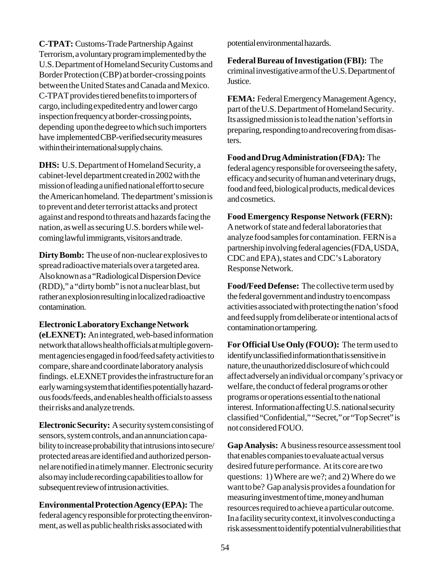**C-TPAT:** Customs-Trade Partnership Against Terrorism, a voluntary program implemented by the U.S. Department of Homeland Security Customs and Border Protection (CBP) at border-crossing points between the United States and Canada and Mexico. C-TPAT provides tiered benefits to importers of cargo, including expedited entry and lower cargo inspection frequency at border-crossing points, depending upon the degree to which such importers have implemented CBP-verified security measures within their international supply chains.

**DHS:** U.S. Department of Homeland Security, a cabinet-level department created in 2002 with the mission of leading a unified national effort to secure the American homeland. The department's mission is to prevent and deter terrorist attacks and protect against and respond to threats and hazards facing the nation, as well as securing U.S. borders while welcoming lawful immigrants, visitors and trade.

**Dirty Bomb:** The use of non-nuclear explosives to spread radioactive materials over a targeted area. Also known as a "Radiological Dispersion Device (RDD)," a "dirty bomb" is not a nuclear blast, but rather an explosion resulting in localized radioactive contamination.

### **Electronic Laboratory Exchange Network**

**(eLEXNET):** An integrated, web-based information network that allows health officials at multiple government agencies engaged in food/feed safety activities to compare, share and coordinate laboratory analysis findings. eLEXNET provides the infrastructure for an early warning system that identifies potentially hazardous foods/feeds, and enables health officials to assess their risks and analyze trends.

**Electronic Security:** A security system consisting of sensors, system controls, and an annunciation capability to increase probability that intrusions into secure/ protected areas are identified and authorized personnel are notified in a timely manner. Electronic security also may include recording capabilities to allow for subsequent review of intrusion activities.

**Environmental Protection Agency (EPA):** The federal agency responsible for protecting the environment, as well as public health risks associated with

potential environmental hazards.

**Federal Bureau of Investigation (FBI):** The criminal investigative arm of the U.S. Department of Justice.

**FEMA:** Federal Emergency Management Agency, part of the U.S. Department of Homeland Security. Its assigned mission is to lead the nation's efforts in preparing, responding to and recovering from disasters.

**Food and Drug Administration (FDA):** The federal agency responsible for overseeing the safety, efficacy and security of human and veterinary drugs, food and feed, biological products, medical devices and cosmetics.

**Food Emergency Response Network (FERN):** A network of state and federal laboratories that analyze food samples for contamination. FERN is a partnership involving federal agencies (FDA, USDA, CDC and EPA), states and CDC's Laboratory Response Network.

**Food/Feed Defense:** The collective term used by the federal government and industry to encompass activities associated with protecting the nation's food and feed supply from deliberate or intentional acts of contamination or tampering.

**For Official Use Only (FOUO):** The term used to identify unclassified information that is sensitive in nature, the unauthorized disclosure of which could affect adversely an individual or company's privacy or welfare, the conduct of federal programs or other programs or operations essential to the national interest. Information affecting U.S. national security classified "Confidential," "Secret," or "Top Secret" is not considered FOUO.

**Gap Analysis:** A business resource assessment tool that enables companies to evaluate actual versus desired future performance. At its core are two questions: 1) Where are we?; and 2) Where do we want to be? Gap analysis provides a foundation for measuring investment of time, money and human resources required to achieve a particular outcome. In a facility security context, it involves conducting a risk assessment to identify potential vulnerabilities that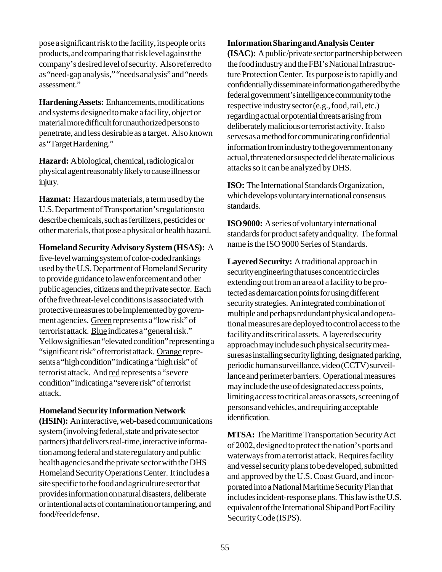pose a significant risk to the facility, its people or its products, and comparing that risk level against the company's desired level of security. Also referred to as "need-gap analysis," "needs analysis" and "needs assessment."

**Hardening Assets:** Enhancements, modifications and systems designed to make a facility, object or material more difficult for unauthorized persons to penetrate, and less desirable as a target. Also known as "Target Hardening."

**Hazard:** A biological, chemical, radiological or physical agent reasonably likely to cause illness or injury.

**Hazmat:** Hazardous materials, a term used by the U.S. Department of Transportation's regulations to describe chemicals, such as fertilizers, pesticides or other materials, that pose a physical or health hazard.

**Homeland Security Advisory System (HSAS):** A

five-level warning system of color-coded rankings used by the U.S. Department of Homeland Security to provide guidance to law enforcement and other public agencies, citizens and the private sector. Each of the five threat-level conditions is associated with protective measures to be implemented by government agencies. Green represents a "low risk" of terrorist attack. Blue indicates a "general risk." Yellow signifies an "elevated condition" representing a "significant risk" of terrorist attack. Orange represents a "high condition" indicating a "high risk" of terrorist attack. And red represents a "severe condition" indicating a "severe risk" of terrorist attack.

#### **Homeland Security Information Network**

**(HSIN):** An interactive, web-based communications system (involving federal, state and private sector partners) that delivers real-time, interactive information among federal and state regulatory and public health agencies and the private sector with the DHS Homeland Security Operations Center. It includes a site specific to the food and agriculture sector that provides information on natural disasters, deliberate or intentional acts of contamination or tampering, and food/feed defense.

#### **Information Sharing and Analysis Center**

**(ISAC):** A public/private sector partnership between the food industry and the FBI's National Infrastructure Protection Center. Its purpose is to rapidly and confidentially disseminate information gathered by the federal government's intelligence community to the respective industry sector (e.g., food, rail, etc.) regarding actual or potential threats arising from deliberately malicious or terrorist activity. It also serves as a method for communicating confidential information from industry to the government on any actual, threatened or suspected deliberate malicious attacks so it can be analyzed by DHS.

**ISO:** The International Standards Organization, which develops voluntary international consensus standards.

**ISO 9000:** A series of voluntary international standards for product safety and quality. The formal name is the ISO 9000 Series of Standards.

**Layered Security:** A traditional approach in security engineering that uses concentric circles extending out from an area of a facility to be protected as demarcation points for using different security strategies. An integrated combination of multiple and perhaps redundant physical and operational measures are deployed to control access to the facility and its critical assets. A layered security approach may include such physical security measures as installing security lighting, designated parking, periodic human surveillance, video (CCTV) surveillance and perimeter barriers. Operational measures may include the use of designated access points, limiting access to critical areas or assets, screening of persons and vehicles, and requiring acceptable identification.

**MTSA:** The Maritime Transportation Security Act of 2002, designed to protect the nation's ports and waterways from a terrorist attack. Requires facility and vessel security plans to be developed, submitted and approved by the U.S. Coast Guard, and incorporated into a National Maritime Security Plan that includes incident-response plans. This law is the U.S. equivalent of the International Ship and Port Facility Security Code (ISPS).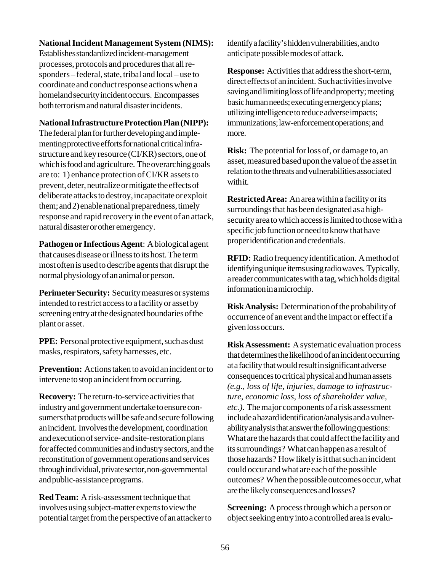### **National Incident Management System (NIMS):**

Establishes standardized incident-management processes, protocols and procedures that all responders – federal, state, tribal and local – use to coordinate and conduct response actions when a homeland security incident occurs. Encompasses both terrorism and natural disaster incidents.

#### **National Infrastructure Protection Plan (NIPP):**

The federal plan for further developing and implementing protective efforts for national critical infrastructure and key resource (CI/KR) sectors, one of which is food and agriculture. The overarching goals are to: 1) enhance protection of CI/KR assets to prevent, deter, neutralize or mitigate the effects of deliberate attacks to destroy, incapacitate or exploit them; and 2) enable national preparedness, timely response and rapid recovery in the event of an attack, natural disaster or other emergency.

**Pathogen or Infectious Agent**: A biological agent that causes disease or illness to its host. The term most often is used to describe agents that disrupt the normal physiology of an animal or person.

**Perimeter Security:** Security measures or systems intended to restrict access to a facility or asset by screening entry at the designated boundaries of the plant or asset.

**PPE:** Personal protective equipment, such as dust masks, respirators, safety harnesses, etc.

**Prevention:** Actions taken to avoid an incident or to intervene to stop an incident from occurring.

**Recovery:** The return-to-service activities that industry and government undertake to ensure consumers that products will be safe and secure following an incident. Involves the development, coordination and execution of service- and site-restoration plans for affected communities and industry sectors, and the reconstitution of government operations and services through individual, private sector, non-governmental and public-assistance programs.

**Red Team:** A risk-assessment technique that involves using subject-matter experts to view the potential target from the perspective of an attacker to identify a facility's hidden vulnerabilities, and to anticipate possible modes of attack.

**Response:** Activities that address the short-term, direct effects of an incident. Such activities involve saving and limiting loss of life and property; meeting basic human needs; executing emergency plans; utilizing intelligence to reduce adverse impacts; immunizations; law-enforcement operations; and more.

**Risk:** The potential for loss of, or damage to, an asset, measured based upon the value of the asset in relation to the threats and vulnerabilities associated with it.

**Restricted Area:** An area within a facility or its surroundings that has been designated as a highsecurity area to which access is limited to those with a specific job function or need to know that have proper identification and credentials.

**RFID:** Radio frequency identification. A method of identifying unique items using radio waves. Typically, a reader communicates with a tag, which holds digital information in a microchip.

**Risk Analysis:** Determination of the probability of occurrence of an event and the impact or effect if a given loss occurs.

**Risk Assessment:** A systematic evaluation process that determines the likelihood of an incident occurring at a facility that would result in significant adverse consequences to critical physical and human assets *(e.g., loss of life, injuries, damage to infrastructure, economic loss, loss of shareholder value, etc.)*. The major components of a risk assessment include a hazard identification/analysis and a vulnerability analysis that answer the following questions: What are the hazards that could affect the facility and its surroundings? What can happen as a result of those hazards? How likely is it that such an incident could occur and what are each of the possible outcomes? When the possible outcomes occur, what are the likely consequences and losses?

**Screening:** A process through which a person or object seeking entry into a controlled area is evalu